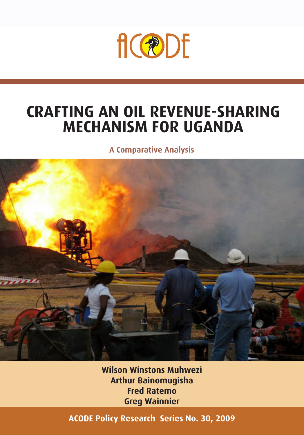

# **CRAFTING AN OIL REVENUE-SHARING MECHANISM FOR UGANDA**

**A Comparative Analysis** 



**Wilson Winstons Muhwezi Arthur Bainomugisha Fred Ratemo Greg Wainnier**

**ACODE Policy Research Series No. 30, 2009**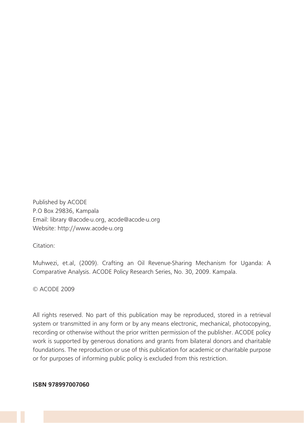Published by ACODE P.O Box 29836, Kampala Email: library @acode-u.org, acode@acode-u.org Website: http://www.acode-u.org

Citation:

Muhwezi, et.al, (2009). Crafting an Oil Revenue-Sharing Mechanism for Uganda: A Comparative Analysis. ACODE Policy Research Series, No. 30, 2009. Kampala.

© ACODE 2009

All rights reserved. No part of this publication may be reproduced, stored in a retrieval system or transmitted in any form or by any means electronic, mechanical, photocopying, recording or otherwise without the prior written permission of the publisher. ACODE policy work is supported by generous donations and grants from bilateral donors and charitable foundations. The reproduction or use of this publication for academic or charitable purpose or for purposes of informing public policy is excluded from this restriction.

**ISBN 978997007060**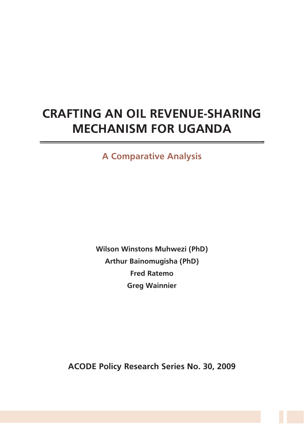## **CRAFTING AN OIL REVENUE-SHARING MECHANISM FOR UGANDA**

**A Comparative Analysis**

**Wilson Winstons Muhwezi (PhD) Arthur Bainomugisha (PhD) Fred Ratemo Greg Wainnier**

**ACODE Policy Research Series No. 30, 2009**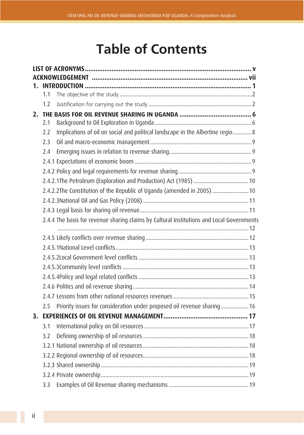## **Table of Contents**

|    | 1.1 |                                                                                           |  |  |
|----|-----|-------------------------------------------------------------------------------------------|--|--|
|    | 1.2 |                                                                                           |  |  |
| 2. |     |                                                                                           |  |  |
|    | 2.1 |                                                                                           |  |  |
|    | 2.2 | Implications of oil on social and political landscape in the Albertine regio 8            |  |  |
|    | 2.3 |                                                                                           |  |  |
|    | 2.4 |                                                                                           |  |  |
|    |     |                                                                                           |  |  |
|    |     |                                                                                           |  |  |
|    |     |                                                                                           |  |  |
|    |     | 2.4.2.2The Constitution of the Republic of Uganda (amended in 2005)  10                   |  |  |
|    |     |                                                                                           |  |  |
|    |     |                                                                                           |  |  |
|    |     | 2.4.4 The basis for revenue sharing claims by Cultural Institutions and Local Governments |  |  |
|    |     |                                                                                           |  |  |
|    |     |                                                                                           |  |  |
|    |     |                                                                                           |  |  |
|    |     |                                                                                           |  |  |
|    |     |                                                                                           |  |  |
|    |     |                                                                                           |  |  |
|    |     |                                                                                           |  |  |
|    | 2.5 | Priority issues for consideration under proposed oil revenue sharing  16                  |  |  |
| 3. |     |                                                                                           |  |  |
|    |     |                                                                                           |  |  |
|    | 3.2 |                                                                                           |  |  |
|    |     |                                                                                           |  |  |
|    |     |                                                                                           |  |  |
|    |     |                                                                                           |  |  |
|    |     |                                                                                           |  |  |
|    |     |                                                                                           |  |  |
|    | 3.3 |                                                                                           |  |  |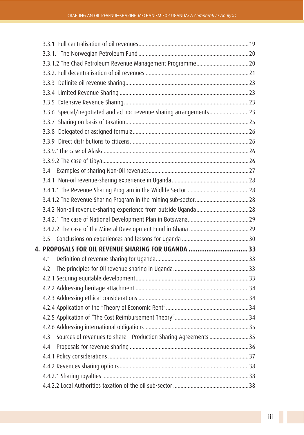| 3.3.6 Special/negotiated and ad hoc revenue sharing arrangements23      |  |
|-------------------------------------------------------------------------|--|
|                                                                         |  |
|                                                                         |  |
|                                                                         |  |
|                                                                         |  |
|                                                                         |  |
| 3.4                                                                     |  |
|                                                                         |  |
|                                                                         |  |
|                                                                         |  |
|                                                                         |  |
|                                                                         |  |
|                                                                         |  |
|                                                                         |  |
| 4. PROPOSALS FOR OIL REVENUE SHARING FOR UGANDA  33                     |  |
| 4.1                                                                     |  |
| 4.2                                                                     |  |
|                                                                         |  |
|                                                                         |  |
|                                                                         |  |
|                                                                         |  |
|                                                                         |  |
|                                                                         |  |
| Sources of revenues to share - Production Sharing Agreements  35<br>4.3 |  |
| 4.4                                                                     |  |
|                                                                         |  |
|                                                                         |  |
|                                                                         |  |
|                                                                         |  |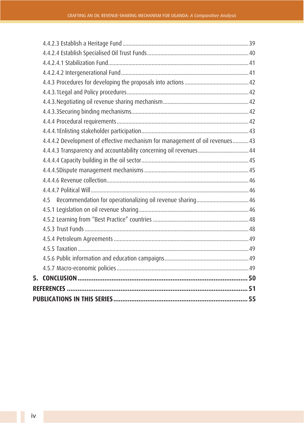|    | 4.4.4.2 Development of effective mechanism for management of oil revenues 43 |  |  |  |  |
|----|------------------------------------------------------------------------------|--|--|--|--|
|    |                                                                              |  |  |  |  |
|    |                                                                              |  |  |  |  |
|    |                                                                              |  |  |  |  |
|    |                                                                              |  |  |  |  |
|    |                                                                              |  |  |  |  |
|    |                                                                              |  |  |  |  |
|    |                                                                              |  |  |  |  |
|    |                                                                              |  |  |  |  |
|    |                                                                              |  |  |  |  |
|    |                                                                              |  |  |  |  |
|    |                                                                              |  |  |  |  |
|    |                                                                              |  |  |  |  |
|    |                                                                              |  |  |  |  |
| 5. |                                                                              |  |  |  |  |
|    |                                                                              |  |  |  |  |
|    |                                                                              |  |  |  |  |
|    |                                                                              |  |  |  |  |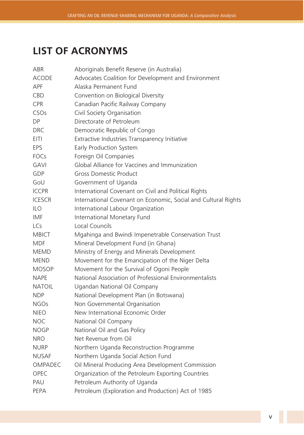## **LIST OF ACRONYMS**

| ABR           | Aboriginals Benefit Reserve (in Australia)                     |
|---------------|----------------------------------------------------------------|
| <b>ACODE</b>  | Advocates Coalition for Development and Environment            |
| APF           | Alaska Permanent Fund                                          |
| <b>CBD</b>    | Convention on Biological Diversity                             |
| <b>CPR</b>    | Canadian Pacific Railway Company                               |
| <b>CSOs</b>   | Civil Society Organisation                                     |
| DP.           | Directorate of Petroleum                                       |
| <b>DRC</b>    | Democratic Republic of Congo                                   |
| EITI          | Extractive Industries Transparency Initiative                  |
| EPS           | Early Production System                                        |
| FOCs          | Foreign Oil Companies                                          |
| <b>GAVI</b>   | Global Alliance for Vaccines and Immunization                  |
| GDP           | <b>Gross Domestic Product</b>                                  |
| GoU           | Government of Uganda                                           |
| <b>ICCPR</b>  | International Covenant on Civil and Political Rights           |
| <b>ICESCR</b> | International Covenant on Economic, Social and Cultural Rights |
| ILO.          | International Labour Organization                              |
| IMF.          | International Monetary Fund                                    |
| LCs           | Local Councils                                                 |
| <b>MBICT</b>  | Mgahinga and Bwindi Impenetrable Conservation Trust            |
| <b>MDF</b>    | Mineral Development Fund (in Ghana)                            |
| <b>MEMD</b>   | Ministry of Energy and Minerals Development                    |
| <b>MEND</b>   | Movement for the Emancipation of the Niger Delta               |
| <b>MOSOP</b>  | Movement for the Survival of Ogoni People                      |
| <b>NAPE</b>   | National Association of Professional Environmentalists         |
| <b>NATOIL</b> | Ugandan National Oil Company                                   |
| <b>NDP</b>    | National Development Plan (in Botswana)                        |
| <b>NGOs</b>   | Non Governmental Organisation                                  |
| <b>NIEO</b>   | New International Economic Order                               |
| <b>NOC</b>    | National Oil Company                                           |
| <b>NOGP</b>   | National Oil and Gas Policy                                    |
| <b>NRO</b>    | Net Revenue from Oil                                           |
| <b>NURP</b>   | Northern Uganda Reconstruction Programme                       |
| <b>NUSAF</b>  | Northern Uganda Social Action Fund                             |
| OMPADEC       | Oil Mineral Producing Area Development Commission              |
| <b>OPEC</b>   | Organization of the Petroleum Exporting Countries              |
| PAU           | Petroleum Authority of Uganda                                  |
| PEPA          | Petroleum (Exploration and Production) Act of 1985             |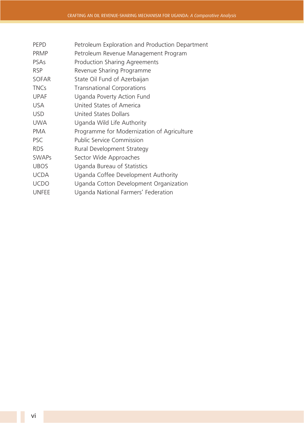- PEPD Petroleum Exploration and Production Department
- PRMP Petroleum Revenue Management Program
- PSAs Production Sharing Agreements
- RSP Revenue Sharing Programme
- SOFAR State Oil Fund of Azerbaijan
- TNCs Transnational Corporations
- UPAF Uganda Poverty Action Fund
- USA United States of America
- USD United States Dollars
- UWA Uganda Wild Life Authority
- PMA Programme for Modernization of Agriculture
- PSC Public Service Commission
- RDS Rural Development Strategy
- SWAPs Sector Wide Approaches
- UBOS Uganda Bureau of Statistics
- UCDA Uganda Coffee Development Authority
- UCDO Uganda Cotton Development Organization
- UNFEE Uganda National Farmers' Federation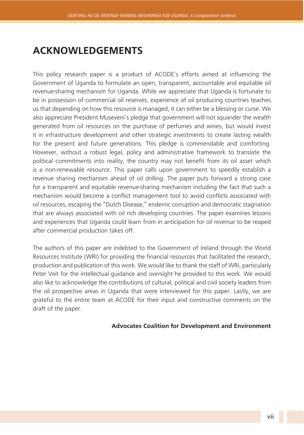### **ACKNOWLEDGEMENTS**

This policy research paper is a product of ACODE's efforts aimed at influencing the Government of Uganda to formulate an open, transparent, accountable and equitable oil revenue-sharing mechanism for Uganda. While we appreciate that Uganda is fortunate to be in possession of commercial oil reserves, experience of oil producing countries teaches us that depending on how this resource is managed, it can either be a blessing or curse. We also appreciate President Museveni's pledge that government will not squander the wealth generated from oil resources on the purchase of perfumes and wines, but would invest it in infrastructure development and other strategic investments to create lasting wealth for the present and future generations. This pledge is commendable and comforting. However, without a robust legal, policy and administrative framework to translate the political commitments into reality, the country may not benefit from its oil asset which is a non-renewable resource. This paper calls upon government to speedily establish a revenue sharing mechanism ahead of oil drilling. The paper puts forward a strong case for a transparent and equitable revenue-sharing mechanism including the fact that such a mechanism would become a conflict management tool to avoid conflicts associated with oil resources, escaping the "Dutch Disease," endemic corruption and democratic stagnation that are always associated with oil rich developing countries. The paper examines lessons and experiences that Uganda could learn from in anticipation for oil revenue to be reaped after commercial production takes off.

The authors of this paper are indebted to the Government of Ireland through the World Resources Institute (WRI) for providing the financial resources that facilitated the research, production and publication of this work. We would like to thank the staff of WRI, particularly Peter Veit for the intellectual guidance and oversight he provided to this work. We would also like to acknowledge the contributions of cultural, political and civil society leaders from the oil prospective areas in Uganda that were interviewed for this paper. Lastly, we are grateful to the entire team at ACODE for their input and constructive comments on the draft of the paper.

#### **Advocates Coalition for Development and Environment**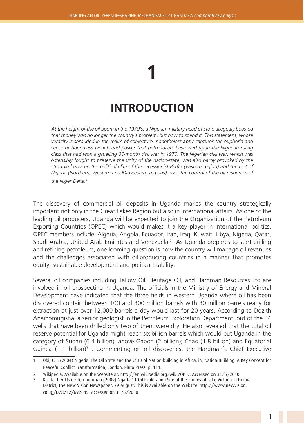# **INTRODUCTION**

**1**

*At the height of the oil boom in the 1970's, a Nigerian military head of state allegedly boasted that money was no longer the country's problem, but how to spend it. This statement, whose veracity is shrouded in the realm of conjecture, nonetheless aptly captures the euphoria and sense of boundless wealth and power that petrodollars bestowed upon the Nigerian ruling class that had won a gruelling 30-month civil war in 1970. The Nigerian civil war, which was ostensibly fought to preserve the unity of the nation-state, was also partly provoked by the struggle between the political elite of the secessionist Biafra (Eastern region) and the rest of Nigeria (Northern, Western and Midwestern regions), over the control of the oil resources of the Niger Delta.1*

The discovery of commercial oil deposits in Uganda makes the country strategically important not only in the Great Lakes Region but also in international affairs. As one of the leading oil producers, Uganda will be expected to join the Organization of the Petroleum Exporting Countries (OPEC) which would makes it a key player in international politics. OPEC members include; Algeria, Angola, Ecuador, Iran, Iraq, Kuwait, Libya, Nigeria, Qatar, Saudi Arabia, United Arab Emirates and Venezuela.<sup>2</sup> As Uganda prepares to start drilling and refining petroleum, one looming question is how the country will manage oil revenues and the challenges associated with oil-producing countries in a manner that promotes equity, sustainable development and political stability.

Several oil companies including Tallow Oil, Heritage Oil, and Hardman Resources Ltd are involved in oil prospecting in Uganda. The officials in the Ministry of Energy and Mineral Development have indicated that the three fields in western Uganda where oil has been discovered contain between 100 and 300 million barrels with 30 million barrels ready for extraction at just over 12,000 barrels a day would last for 20 years. According to Dozith Abainomugisha, a senior geologist in the Petroleum Exploration Department; out of the 34 wells that have been drilled only two of them were dry. He also revealed that the total oil reserve potential for Uganda might reach six billion barrels which would put Uganda in the category of Sudan (6.4 billion); above Gabon (2 billion); Chad (1.8 billion) and Equatorial Guinea  $(1.1 \text{ billion})^3$  . Commenting on oil discoveries, the Hardman's Chief Executive

<sup>1</sup> Obi, C. I. (2004) Nigeria: The Oil State and the Crisis of Nation-building in Africa, in, Nation-Building: A Key Concept for Peaceful Conflict Transformation, London, Pluto Press, p. 111.

<sup>2</sup> Wikipedia. Available on the Website at: http://en.wikipedia.org/wiki/OPEC. Accessed on 31/5/2010

<sup>3</sup> Kasita, I. & Els de Temmerman (2009) Ngaffa 11 Oil Exploration Site at the Shores of Lake Victoria in Hoima District, The New Vision Newspaper, 29 August. This is available on the Website: http://www.newvision. co.ug/D/8/12/692645. Accessed on 31/5/2010.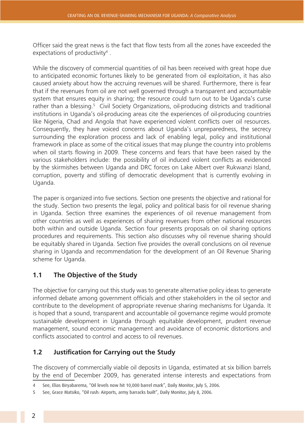Officer said the great news is the fact that flow tests from all the zones have exceeded the expectations of productivity $^4$  .

While the discovery of commercial quantities of oil has been received with great hope due to anticipated economic fortunes likely to be generated from oil exploitation, it has also caused anxiety about how the accruing revenues will be shared. Furthermore, there is fear that if the revenues from oil are not well governed through a transparent and accountable system that ensures equity in sharing; the resource could turn out to be Uganda's curse rather than a blessing.<sup>5</sup> Civil Society Organizations, oil-producing districts and traditional institutions in Uganda's oil-producing areas cite the experiences of oil-producing countries like Nigeria, Chad and Angola that have experienced violent conflicts over oil resources. Consequently, they have voiced concerns about Uganda's unpreparedness, the secrecy surrounding the exploration process and lack of enabling legal, policy and institutional framework in place as some of the critical issues that may plunge the country into problems when oil starts flowing in 2009. These concerns and fears that have been raised by the various stakeholders include: the possibility of oil induced violent conflicts as evidenced by the skirmishes between Uganda and DRC forces on Lake Albert over Rukwanzi Island, corruption, poverty and stifling of democratic development that is currently evolving in Uganda.

The paper is organized into five sections. Section one presents the objective and rational for the study. Section two presents the legal, policy and political basis for oil revenue sharing in Uganda. Section three examines the experiences of oil revenue management from other countries as well as experiences of sharing revenues from other national resources both within and outside Uganda. Section four presents proposals on oil sharing options procedures and requirements. This section also discusses why oil revenue sharing should be equitably shared in Uganda. Section five provides the overall conclusions on oil revenue sharing in Uganda and recommendation for the development of an Oil Revenue Sharing scheme for Uganda.

#### **1.1 The Objective of the Study**

The objective for carrying out this study was to generate alternative policy ideas to generate informed debate among government officials and other stakeholders in the oil sector and contribute to the development of appropriate revenue sharing mechanisms for Uganda. It is hoped that a sound, transparent and accountable oil governance regime would promote sustainable development in Uganda through equitable development, prudent revenue management, sound economic management and avoidance of economic distortions and conflicts associated to control and access to oil revenues.

#### **1.2 Justification for Carrying out the Study**

The discovery of commercially viable oil deposits in Uganda, estimated at six billion barrels by the end of December 2009, has generated intense interests and expectations from

<sup>4</sup> See, Elias Biryabarema, "Oil levels now hit 10,000 barrel mark", Daily Monitor, July 5, 2006.

<sup>5</sup> See, Grace Matsiko, "Oil rush: Airports, army barracks built", Daily Monitor, July 8, 2006.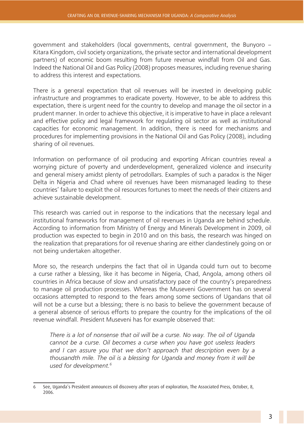government and stakeholders (local governments, central government, the Bunyoro – Kitara Kingdom, civil society organizations, the private sector and international development partners) of economic boom resulting from future revenue windfall from Oil and Gas. Indeed the National Oil and Gas Policy (2008) proposes measures, including revenue sharing to address this interest and expectations.

There is a general expectation that oil revenues will be invested in developing public infrastructure and programmes to eradicate poverty. However, to be able to address this expectation, there is urgent need for the country to develop and manage the oil sector in a prudent manner. In order to achieve this objective, it is imperative to have in place a relevant and effective policy and legal framework for regulating oil sector as well as institutional capacities for economic management. In addition, there is need for mechanisms and procedures for implementing provisions in the National Oil and Gas Policy (2008), including sharing of oil revenues.

Information on performance of oil producing and exporting African countries reveal a worrying picture of poverty and underdevelopment, generalized violence and insecurity and general misery amidst plenty of petrodollars. Examples of such a paradox is the Niger Delta in Nigeria and Chad where oil revenues have been mismanaged leading to these countries' failure to exploit the oil resources fortunes to meet the needs of their citizens and achieve sustainable development.

This research was carried out in response to the indications that the necessary legal and institutional frameworks for management of oil revenues in Uganda are behind schedule. According to information from Ministry of Energy and Minerals Development in 2009, oil production was expected to begin in 2010 and on this basis, the research was hinged on the realization that preparations for oil revenue sharing are either clandestinely going on or not being undertaken altogether.

More so, the research underpins the fact that oil in Uganda could turn out to become a curse rather a blessing, like it has become in Nigeria, Chad, Angola, among others oil countries in Africa because of slow and unsatisfactory pace of the country's preparedness to manage oil production processes. Whereas the Museveni Government has on several occasions attempted to respond to the fears among some sections of Ugandans that oil will not be a curse but a blessing; there is no basis to believe the government because of a general absence of serious efforts to prepare the country for the implications of the oil revenue windfall. President Museveni has for example observed that:

*There is a lot of nonsense that oil will be a curse. No way. The oil of Uganda cannot be a curse. Oil becomes a curse when you have got useless leaders and I can assure you that we don't approach that description even by a thousandth mile. The oil is a blessing for Uganda and money from it will be used for development.6*

<sup>6</sup> See, Uganda's President announces oil discovery after years of exploration, The Associated Press, October, 8, 2006.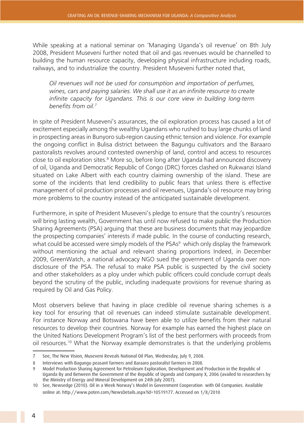While speaking at a national seminar on 'Managing Uganda's oil revenue' on 8th July 2008, President Museveni further noted that oil and gas revenues would be channelled to building the human resource capacity, developing physical infrastructure including roads, railways, and to industrialize the country. President Museveni further noted that,

*Oil revenues will not be used for consumption and importation of perfumes, wines, cars and paying salaries. We shall use it as an infinite resource to create infinite capacity for Ugandans. This is our core view in building long-term benefits from oil.7*

In spite of President Museveni's assurances, the oil exploration process has caused a lot of excitement especially among the wealthy Ugandans who rushed to buy large chunks of land in prospecting areas in Bunyoro sub-region causing ethnic tension and violence. For example the ongoing conflict in Bulisa district between the Bagungu cultivators and the Baraaro pastoralists revolves around contested ownership of land, control and access to resources close to oil exploration sites.<sup>8</sup> More so, before long after Uganda had announced discovery of oil, Uganda and Democratic Republic of Congo (DRC) forces clashed on Rukwanzi Island situated on Lake Albert with each country claiming ownership of the island. These are some of the incidents that lend credibility to public fears that unless there is effective management of oil production processes and oil revenues, Uganda's oil resource may bring more problems to the country instead of the anticipated sustainable development.

Furthermore, in spite of President Museveni's pledge to ensure that the country's resources will bring lasting wealth, Government has until now refused to make public the Production Sharing Agreements (PSA) arguing that these are business documents that may jeopardize the prospecting companies' interests if made public. In the course of conducting research, what could be accessed were simply models of the PSAs $^9$  which only display the framework without mentioning the actual and relevant sharing proportions Indeed, in December 2009, GreenWatch, a national advocacy NGO sued the government of Uganda over nondisclosure of the PSA. The refusal to make PSA public is suspected by the civil society and other stakeholders as a ploy under which public officers could conclude corrupt deals beyond the scrutiny of the public, including inadequate provisions for revenue sharing as required by Oil and Gas Policy.

Most observers believe that having in place credible oil revenue sharing schemes is a key tool for ensuring that oil revenues can indeed stimulate sustainable development. For instance Norway and Botswana have been able to utilize benefits from their natural resources to develop their countries. Norway for example has earned the highest place on the United Nations Development Program's list of the best performers with proceeds from oil resources.<sup>10</sup> What the Norway example demonstrates is that the underlying problems

<sup>7</sup> See, The New Vision, Museveni Reveals National Oil Plan, Wednesday, July 9, 2008.

<sup>8</sup> Interviews with Bagungu peasant farmers and Baraaro pastoralist farmers in 2008.

<sup>9</sup> Model Production Sharing Agreement for Petroleum Exploration, Development and Production in the Republic of Uganda By and Between the Government of the Republic of Uganda and Company X, 2006 (availed to researchers by the Ministry of Energy and Mineral Development on 24th July 2007).

<sup>10</sup> See, Newsedge (2010). Oil in a Week Norway's Model in Government Cooperation with Oil Companies. Available online at: http://www.poten.com/NewsDetails.aspx?id=10519177. Accessed on 1/8/2010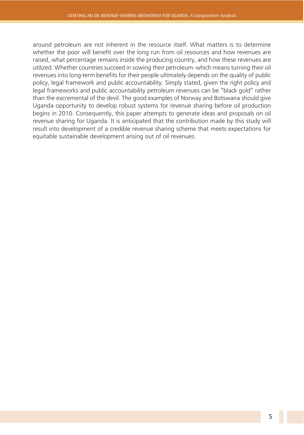around petroleum are not inherent in the resource itself. What matters is to determine whether the poor will benefit over the long run from oil resources and how revenues are raised, what percentage remains inside the producing country, and how these revenues are utilized. Whether countries succeed in sowing their petroleum- which means turning their oil revenues into long-term benefits for their people ultimately depends on the quality of public policy, legal framework and public accountability. Simply stated, given the right policy and legal frameworks and public accountability petroleum revenues can be "black gold" rather than the excremental of the devil. The good examples of Norway and Botswana should give Uganda opportunity to develop robust systems for revenue sharing before oil production begins in 2010. Consequently, this paper attempts to generate ideas and proposals on oil revenue sharing for Uganda. It is anticipated that the contribution made by this study will result into development of a credible revenue sharing scheme that meets expectations for equitable sustainable development arising out of oil revenues.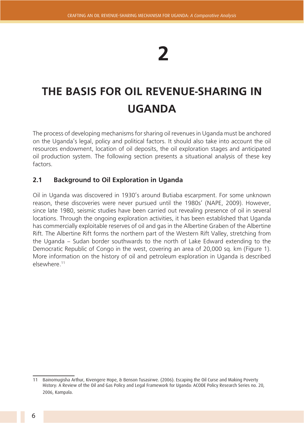# **2**

## **THE BASIS FOR OIL REVENUE-SHARING IN UGANDA**

The process of developing mechanisms for sharing oil revenues in Uganda must be anchored on the Uganda's legal, policy and political factors. It should also take into account the oil resources endowment, location of oil deposits, the oil exploration stages and anticipated oil production system. The following section presents a situational analysis of these key factors.

#### **2.1 Background to Oil Exploration in Uganda**

Oil in Uganda was discovered in 1930's around Butiaba escarpment. For some unknown reason, these discoveries were never pursued until the 1980s' (NAPE, 2009). However, since late 1980, seismic studies have been carried out revealing presence of oil in several locations. Through the ongoing exploration activities, it has been established that Uganda has commercially exploitable reserves of oil and gas in the Albertine Graben of the Albertine Rift. The Albertine Rift forms the northern part of the Western Rift Valley, stretching from the Uganda – Sudan border southwards to the north of Lake Edward extending to the Democratic Republic of Congo in the west, covering an area of 20,000 sq. km (Figure 1). More information on the history of oil and petroleum exploration in Uganda is described elsewhere<sup>11</sup>

Bainomugisha Arthur, Kivengere Hope, & Benson Tusasirwe. (2006). Escaping the Oil Curse and Making Poverty History: A Review of the Oil and Gas Policy and Legal Framework for Uganda: ACODE Policy Research Series no. 20, 2006, Kampala.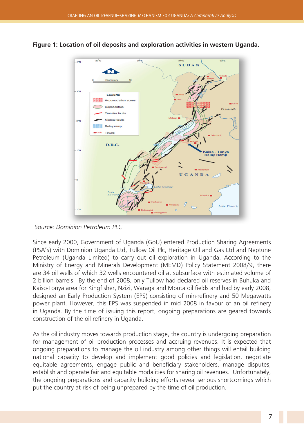

**Figure 1: Location of oil deposits and exploration activities in western Uganda.**

*Source: Dominion Petroleum PLC*

Since early 2000, Government of Uganda (GoU) entered Production Sharing Agreements (PSA's) with Dominion Uganda Ltd, Tullow Oil Plc, Heritage Oil and Gas Ltd and Neptune Petroleum (Uganda Limited) to carry out oil exploration in Uganda. According to the Ministry of Energy and Minerals Development (MEMD) Policy Statement 2008/9, there are 34 oil wells of which 32 wells encountered oil at subsurface with estimated volume of 2 billion barrels. By the end of 2008, only Tullow had declared oil reserves in Buhuka and Kaiso-Tonya area for Kingfisher, Nzizi, Waraga and Mputa oil fields and had by early 2008, designed an Early Production System (EPS) consisting of min-refinery and 50 Megawatts power plant. However, this EPS was suspended in mid 2008 in favour of an oil refinery in Uganda. By the time of issuing this report, ongoing preparations are geared towards construction of the oil refinery in Uganda.

As the oil industry moves towards production stage, the country is undergoing preparation for management of oil production processes and accruing revenues. It is expected that ongoing preparations to manage the oil industry among other things will entail building national capacity to develop and implement good policies and legislation, negotiate equitable agreements, engage public and beneficiary stakeholders, manage disputes, establish and operate fair and equitable modalities for sharing oil revenues. Unfortunately, the ongoing preparations and capacity building efforts reveal serious shortcomings which put the country at risk of being unprepared by the time of oil production.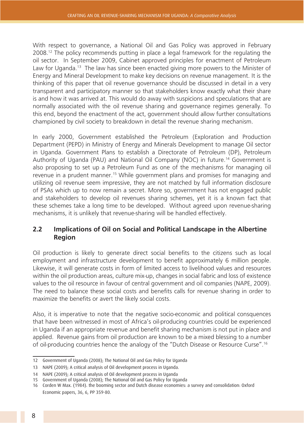With respect to governance, a National Oil and Gas Policy was approved in February 2008.12 The policy recommends putting in place a legal framework for the regulating the oil sector. In September 2009, Cabinet approved principles for enactment of Petroleum Law for Uganda.<sup>13</sup> The law has since been enacted giving more powers to the Minister of Energy and Mineral Development to make key decisions on revenue management. It is the thinking of this paper that oil revenue governance should be discussed in detail in a very transparent and participatory manner so that stakeholders know exactly what their share is and how it was arrived at. This would do away with suspicions and speculations that are normally associated with the oil revenue sharing and governance regimes generally. To this end, beyond the enactment of the act, government should allow further consultations championed by civil society to breakdown in detail the revenue sharing mechanism.

In early 2000, Government established the Petroleum (Exploration and Production Department (PEPD) in Ministry of Energy and Minerals Development to manage Oil sector in Uganda. Government Plans to establish a Directorate of Petroleum (DP), Petroleum Authority of Uganda (PAU) and National Oil Company (NOC) in future.<sup>14</sup> Government is also proposing to set up a Petroleum Fund as one of the mechanisms for managing oil revenue in a prudent manner.<sup>15</sup> While government plans and promises for managing and utilizing oil revenue seem impressive, they are not matched by full information disclosure of PSAs which up to now remain a secret. More so, government has not engaged public and stakeholders to develop oil revenues sharing schemes, yet it is a known fact that these schemes take a long time to be developed. Without agreed upon revenue-sharing mechanisms, it is unlikely that revenue-sharing will be handled effectively.

#### **2.2 Implications of Oil on Social and Political Landscape in the Albertine Region**

Oil production is likely to generate direct social benefits to the citizens such as local employment and infrastructure development to benefit approximately 6 million people. Likewise, it will generate costs in form of limited access to livelihood values and resources within the oil production areas, culture mix-up, changes in social fabric and loss of existence values to the oil resource in favour of central government and oil companies (NAPE, 2009). The need to balance these social costs and benefits calls for revenue sharing in order to maximize the benefits or avert the likely social costs.

Also, it is imperative to note that the negative socio-economic and political consquences that have been witnessed in most of Africa's oil-producing countries could be experienced in Uganda if an appropriate revenue and benefit sharing mechanism is not put in place and applied. Revenue gains from oil production are known to be a mixed blessing to a number of oil-producing countries hence the analogy of the "Dutch Disease or Resource Curse".16

<sup>12</sup> Government of Uganda (2008); The National Oil and Gas Policy for Uganda

<sup>13</sup> NAPE (2009); A critical analysis of Oil development process in Uganda.

<sup>14</sup> NAPE (2009); A critical analysis of Oil development process in Uganda

<sup>15</sup> Government of Uganda (2008); The National Oil and Gas Policy for Uganda

<sup>16</sup> Corden W Max. (1984). the booming sector and Dutch disease economies: a survey and consolidation: Oxford Economic papers, 36, 6, PP 359-80.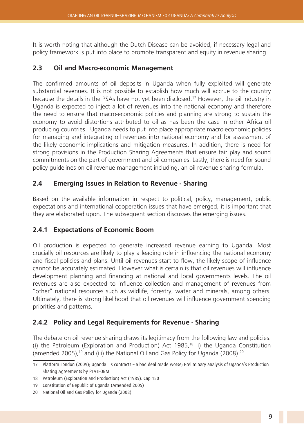It is worth noting that although the Dutch Disease can be avoided, if necessary legal and policy framework is put into place to promote transparent and equity in revenue sharing.

#### **2.3 Oil and Macro-economic Management**

The confirmed amounts of oil deposits in Uganda when fully exploited will generate substantial revenues. It is not possible to establish how much will accrue to the country because the details in the PSAs have not yet been disclosed.17 However, the oil industry in Uganda is expected to inject a lot of revenues into the national economy and therefore the need to ensure that macro-economic policies and planning are strong to sustain the economy to avoid distortions attributed to oil as has been the case in other Africa oil producing countries. Uganda needs to put into place appropriate macro-economic policies for managing and integrating oil revenues into national economy and for assessment of the likely economic implications and mitigation measures. In addition, there is need for strong provisions in the Production Sharing Agreements that ensure fair play and sound commitments on the part of government and oil companies. Lastly, there is need for sound policy guidelines on oil revenue management including, an oil revenue sharing formula.

#### **2.4 Emerging Issues in Relation to Revenue - Sharing**

Based on the available information in respect to political, policy, management, public expectations and international cooperation issues that have emerged, it is important that they are elaborated upon. The subsequent section discusses the emerging issues.

#### **2.4.1 Expectations of Economic Boom**

Oil production is expected to generate increased revenue earning to Uganda. Most crucially oil resources are likely to play a leading role in influencing the national economy and fiscal policies and plans. Until oil revenues start to flow, the likely scope of influence cannot be accurately estimated. However what is certain is that oil revenues will influence development planning and financing at national and local governments levels. The oil revenues are also expected to influence collection and management of revenues from "other" national resources such as wildlife, forestry, water and minerals, among others. Ultimately, there is strong likelihood that oil revenues will influence government spending priorities and patterns.

#### **2.4.2 Policy and Legal Requirements for Revenue - Sharing**

The debate on oil revenue sharing draws its legitimacy from the following law and policies: (i) the Petroleum (Exploration and Production) Act 1985,<sup>18</sup> ii) the Uganda Constitution (amended 2005),<sup>19</sup> and (iii) the National Oil and Gas Policy for Uganda (2008).<sup>20</sup>

<sup>17</sup> Platform London (2009); Uganda's contracts – a bad deal made worse; Preliminary analysis of Uganda's Production Sharing Agreements by PLATFORM

<sup>18</sup> Petroleum (Exploration and Production) Act (1985). Cap 150

<sup>19</sup> Constitution of Republic of Uganda (Amended 2005)

<sup>20</sup> National Oil and Gas Policy for Uganda (2008)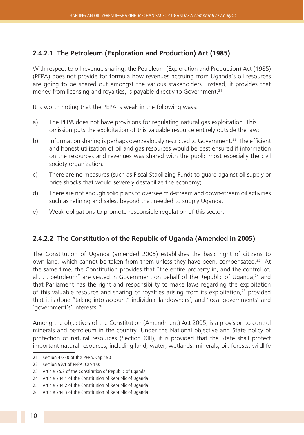#### **2.4.2.1 The Petroleum (Exploration and Production) Act (1985)**

With respect to oil revenue sharing, the Petroleum (Exploration and Production) Act (1985) (PEPA) does not provide for formula how revenues accruing from Uganda's oil resources are going to be shared out amongst the various stakeholders. Instead, it provides that money from licensing and royalties, is payable directly to Government.<sup>21</sup>

It is worth noting that the PEPA is weak in the following ways:

- a) The PEPA does not have provisions for regulating natural gas exploitation. This omission puts the exploitation of this valuable resource entirely outside the law;
- b) Information sharing is perhaps overzealously restricted to Government.<sup>22</sup> The efficient and honest utilization of oil and gas resources would be best ensured if information on the resources and revenues was shared with the public most especially the civil society organization.
- c) There are no measures (such as Fiscal Stabilizing Fund) to guard against oil supply or price shocks that would severely destabilize the economy;
- d) There are not enough solid plans to oversee mid-stream and down-stream oil activities such as refining and sales, beyond that needed to supply Uganda.
- e) Weak obligations to promote responsible regulation of this sector.

#### **2.4.2.2 The Constitution of the Republic of Uganda (Amended in 2005)**

The Constitution of Uganda (amended 2005) establishes the basic right of citizens to own land, which cannot be taken from them unless they have been, compensated.<sup>23</sup> At the same time, the Constitution provides that "the entire property in, and the control of, all.  $\therefore$  petroleum" are vested in Government on behalf of the Republic of Uganda,  $^{24}$  and that Parliament has the right and responsibility to make laws regarding the exploitation of this valuable resource and sharing of royalties arising from its exploitation,<sup>25</sup> provided that it is done "taking into account" individual landowners', and 'local governments' and 'government's' interests.26

Among the objectives of the Constitution (Amendment) Act 2005, is a provision to control minerals and petroleum in the country. Under the National objective and State policy of protection of natural resources (Section XIII), it is provided that the State shall protect important natural resources, including land, water, wetlands, minerals, oil, forests, wildlife

<sup>21</sup> Section 46-50 of the PEPA. Cap 150

<sup>22</sup> Section 59.1 of PEPA. Cap 150

<sup>23</sup> Article 26.2 of the Constitution of Republic of Uganda

<sup>24</sup> Article 244.1 of the Constitution of Republic of Uganda

<sup>25</sup> Article 244.2 of the Constitution of Republic of Uganda

<sup>26</sup> Article 244.3 of the Constitution of Republic of Uganda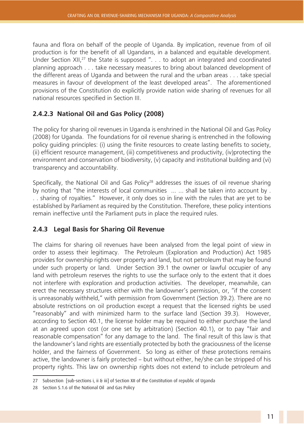fauna and flora on behalf of the people of Uganda. By implication, revenue from of oil production is for the benefit of all Ugandans, in a balanced and equitable development. Under Section XII,<sup>27</sup> the State is supposed " $\ldots$  to adopt an integrated and coordinated planning approach . . . take necessary measures to bring about balanced development of the different areas of Uganda and between the rural and the urban areas . . . take special measures in favour of development of the least developed areas". The aforementioned provisions of the Constitution do explicitly provide nation wide sharing of revenues for all national resources specified in Section III.

#### **2.4.2.3 National Oil and Gas Policy (2008)**

The policy for sharing oil revenues in Uganda is enshrined in the National Oil and Gas Policy (2008) for Uganda. The foundations for oil revenue sharing is entrenched in the following policy guiding principles: (i) using the finite resources to create lasting benefits to society, (ii) efficient resource management, (iii) competitiveness and productivity, (iv)protecting the environment and conservation of biodiversity, (v) capacity and institutional building and (vi) transparency and accountability.

Specifically, the National Oil and Gas Policy<sup>28</sup> addresses the issues of oil revenue sharing by noting that "the interests of local communities ... ... shall be taken into account by . . . sharing of royalties." However, it only does so in line with the rules that are yet to be established by Parliament as required by the Constitution. Therefore, these policy intentions remain ineffective until the Parliament puts in place the required rules.

#### **2.4.3 Legal Basis for Sharing Oil Revenue**

The claims for sharing oil revenues have been analysed from the legal point of view in order to assess their legitimacy. The Petroleum (Exploration and Production) Act 1985 provides for ownership rights over property and land, but not petroleum that may be found under such property or land. Under Section 39.1 the owner or lawful occupier of any land with petroleum reserves the rights to use the surface only to the extent that it does not interfere with exploration and production activities. The developer, meanwhile, can erect the necessary structures either with the landowner's permission, or, "if the consent is unreasonably withheld," with permission from Government (Section 39.2). There are no absolute restrictions on oil production except a request that the licensed rights be used "reasonably" and with minimized harm to the surface land (Section 39.3). However, according to Section 40.1, the license holder may be required to either purchase the land at an agreed upon cost (or one set by arbitration) (Section 40.1), or to pay "fair and reasonable compensation" for any damage to the land. The final result of this law is that the landowner's land rights are essentially protected by both the graciousness of the license holder, and the fairness of Government. So long as either of these protections remains active, the landowner is fairly protected – but without either, he/she can be stripped of his property rights. This law on ownership rights does not extend to include petroleum and

<sup>27</sup> Subsection [sub-sections i, ii & iii] of Section XII of the Constitution of republic of Uganda

<sup>28</sup> Section 5.1.6 of the National Oil and Gas Policy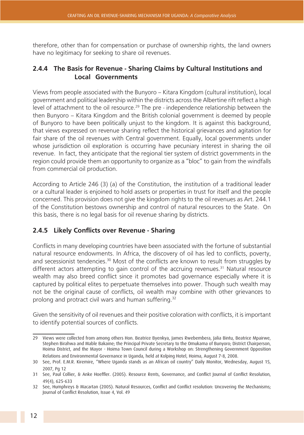therefore, other than for compensation or purchase of ownership rights, the land owners have no legitimacy for seeking to share oil revenues.

#### **2.4.4 The Basis for Revenue - Sharing Claims by Cultural Institutions and Local Governments**

Views from people associated with the Bunyoro – Kitara Kingdom (cultural institution), local government and political leadership within the districts across the Albertine rift reflect a high level of attachment to the oil resource.<sup>29</sup> The pre - independence relationship between the then Bunyoro – Kitara Kingdom and the British colonial government is deemed by people of Bunyoro to have been politically unjust to the kingdom. It is against this background, that views expressed on revenue sharing reflect the historical grievances and agitation for fair share of the oil revenues with Central government. Equally, local governments under whose jurisdiction oil exploration is occurring have pecuniary interest in sharing the oil revenue. In fact, they anticipate that the regional tier system of district governments in the region could provide them an opportunity to organize as a "bloc" to gain from the windfalls from commercial oil production.

According to Article 246 (3) (a) of the Constitution, the institution of a traditional leader or a cultural leader is enjoined to hold assets or properties in trust for itself and the people concerned. This provision does not give the kingdom rights to the oil revenues as Art. 244.1 of the Constitution bestows ownership and control of natural resources to the State. On this basis, there is no legal basis for oil revenue sharing by districts.

#### **2.4.5 Likely Conflicts over Revenue - Sharing**

Conflicts in many developing countries have been associated with the fortune of substantial natural resource endowments. In Africa, the discovery of oil has led to conflicts, poverty, and secessionist tendencies.<sup>30</sup> Most of the conflicts are known to result from struggles by different actors attempting to gain control of the accruing revenues.<sup>31</sup> Natural resource wealth may also breed conflict since it promotes bad governance especially where it is captured by political elites to perpetuate themselves into power. Though such wealth may not be the original cause of conflicts, oil wealth may combine with other grievances to prolong and protract civil wars and human suffering.<sup>32</sup>

Given the sensitivity of oil revenues and their positive coloration with conflicts, it is important to identify potential sources of conflicts.

<sup>29</sup> Views were collected from among others Hon. Beatrice Byenkya, James Rwebembera, Jalia Bintu, Beatrice Mpairwe, Stephen Birahwa and Mable Bakaine; the Principal Private Secretary to the Omukama of Bunyoro; District Chairperson, Hoima District, and the Mayor - Hoima Town Council during a Workshop on: Strengthening Government Opposition Relations and Environmental Governance in Uganda, held at Kolping Hotel, Hoima, August 7-8, 2008.

<sup>30</sup> See, Prof. E.M.R. Kiremire, "Where Uganda stands as an African oil country" Daily Monitor, Wednesday, August 15, 2007, Pg 12

<sup>31</sup> See, Paul Collier, & Anke Hoeffler. (2005). Resource Rents, Governance, and Conflict Journal of Conflict Resolution, 49(4), 625-633

<sup>32</sup> See, Humphreys & Macartan (2005). Natural Resources, Conflict and Conflict resolution: Uncovering the Mechanisms; Journal of Conflict Resolution, Issue 4, Vol. 49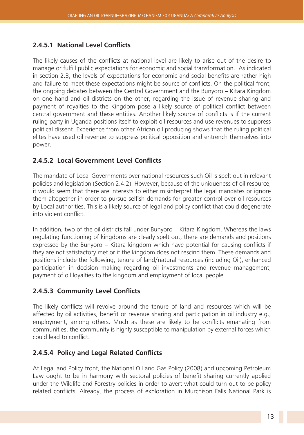#### **2.4.5.1 National Level Conflicts**

The likely causes of the conflicts at national level are likely to arise out of the desire to manage or fulfill public expectations for economic and social transformation. As indicated in section 2.3, the levels of expectations for economic and social benefits are rather high and failure to meet these expectations might be source of conflicts. On the political front, the ongoing debates between the Central Government and the Bunyoro – Kitara Kingdom on one hand and oil districts on the other, regarding the issue of revenue sharing and payment of royalties to the Kingdom pose a likely source of political conflict between central government and these entities. Another likely source of conflicts is if the current ruling party in Uganda positions itself to exploit oil resources and use revenues to suppress political dissent. Experience from other African oil producing shows that the ruling political elites have used oil revenue to suppress political opposition and entrench themselves into power.

#### **2.4.5.2 Local Government Level Conflicts**

The mandate of Local Governments over national resources such Oil is spelt out in relevant policies and legislation (Section 2.4.2). However, because of the uniqueness of oil resource, it would seem that there are interests to either misinterpret the legal mandates or ignore them altogether in order to pursue selfish demands for greater control over oil resources by Local authorities. This is a likely source of legal and policy conflict that could degenerate into violent conflict.

In addition, two of the oil districts fall under Bunyoro – Kitara Kingdom. Whereas the laws regulating functioning of kingdoms are clearly spelt out, there are demands and positions expressed by the Bunyoro – Kitara kingdom which have potential for causing conflicts if they are not satisfactory met or if the kingdom does not rescind them. These demands and positions include the following, tenure of land/natural resources (including Oil), enhanced participation in decision making regarding oil investments and revenue management, payment of oil loyalties to the kingdom and employment of local people.

#### **2.4.5.3 Community Level Conflicts**

The likely conflicts will revolve around the tenure of land and resources which will be affected by oil activities, benefit or revenue sharing and participation in oil industry e.g., employment, among others. Much as these are likely to be conflicts emanating from communities, the community is highly susceptible to manipulation by external forces which could lead to conflict.

#### **2.4.5.4 Policy and Legal Related Conflicts**

At Legal and Policy front, the National Oil and Gas Policy (2008) and upcoming Petroleum Law ought to be in harmony with sectoral policies of benefit sharing currently applied under the Wildlife and Forestry policies in order to avert what could turn out to be policy related conflicts. Already, the process of exploration in Murchison Falls National Park is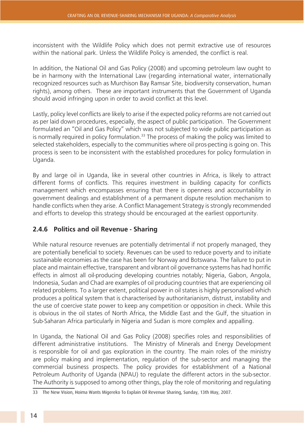inconsistent with the Wildlife Policy which does not permit extractive use of resources within the national park. Unless the Wildlife Policy is amended, the conflict is real.

In addition, the National Oil and Gas Policy (2008) and upcoming petroleum law ought to be in harmony with the International Law (regarding international water, internationally recognized resources such as Murchison Bay Ramsar Site, biodiversity conservation, human rights), among others. These are important instruments that the Government of Uganda should avoid infringing upon in order to avoid conflict at this level.

Lastly, policy level conflicts are likely to arise if the expected policy reforms are not carried out as per laid down procedures, especially, the aspect of public participation. The Government formulated an "Oil and Gas Policy" which was not subjected to wide public participation as is normally required in policy formulation. $33$  The process of making the policy was limited to selected stakeholders, especially to the communities where oil pros-pecting is going on. This process is seen to be inconsistent with the established procedures for policy formulation in Uganda.

By and large oil in Uganda, like in several other countries in Africa, is likely to attract different forms of conflicts. This requires investment in building capacity for conflicts management which encompasses ensuring that there is openness and accountability in government dealings and establishment of a permanent dispute resolution mechanism to handle conflicts when they arise. A Conflict Management Strategy is strongly recommended and efforts to develop this strategy should be encouraged at the earliest opportunity.

#### **2.4.6 Politics and oil Revenue - Sharing**

While natural resource revenues are potentially detrimental if not properly managed, they are potentially beneficial to society. Revenues can be used to reduce poverty and to initiate sustainable economies as the case has been for Norway and Botswana. The failure to put in place and maintain effective, transparent and vibrant oil governance systems has had horrific effects in almost all oil-producing developing countries notably; Nigeria, Gabon, Angola, Indonesia, Sudan and Chad are examples of oil producing countries that are experiencing oil related problems. To a larger extent, political power in oil states is highly personalised which produces a political system that is characterised by authoritarianism, distrust, instability and the use of coercive state power to keep any competition or opposition in check. While this is obvious in the oil states of North Africa, the Middle East and the Gulf, the situation in Sub-Saharan Africa particularly in Nigeria and Sudan is more complex and appalling.

In Uganda, the National Oil and Gas Policy (2008) specifies roles and responsibilities of different administrative institutions. The Ministry of Minerals and Energy Development is responsible for oil and gas exploration in the country. The main roles of the ministry are policy making and implementation, regulation of the sub-sector and managing the commercial business prospects. The policy provides for establishment of a National Petroleum Authority of Uganda (NPAU) to regulate the different actors in the sub-sector. The Authority is supposed to among other things, play the role of monitoring and regulating

<sup>33</sup> The New Vision, Hoima Wants Migereko To Explain Oil Revenue Sharing, Sunday, 13th May, 2007.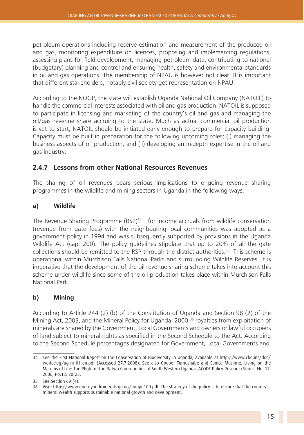petroleum operations including reserve estimation and measurement of the produced oil and gas, monitoring expenditure on licences, proposing and implementing regulations, assessing plans for field development, managing petroleum data, contributing to national (budgetary) planning and control and ensuring health, safety and environmental standards in oil and gas operations. The membership of NPAU is however not clear. It is important that different stakeholders, notably civil society get representation on NPAU.

According to the NOGP, the state will establish Uganda National Oil Company (NATOIL) to handle the commercial interests associated with oil and gas production. NATOIL is supposed to participate in licensing and marketing of the country's oil and gas and managing the oil/gas revenue share accruing to the state. Much as actual commercial oil production is yet to start, NATOIL should be initiated early enough to prepare for capacity building. Capacity must be built in preparation for the following upcoming roles; (i) managing the business aspects of oil production, and (ii) developing an in-depth expertise in the oil and gas industry.

#### **2.4.7 Lessons from other National Resources Revenues**

The sharing of oil revenues bears serious implications to ongoing revenue sharing programmes in the wildlife and mining sectors in Uganda in the following ways.

#### **a) Wildlife**

The Revenue Sharing Programme (RSP)<sup>34</sup> for income accruals from wildlife conservation (revenue from gate fees) with the neighbouring local communities was adopted as a government policy in 1994 and was subsequently supported by provisions in the Uganda Wildlife Act (cap. 200). The policy guidelines stipulate that up to 20% of all the gate collections should be remitted to the RSP through the district authorities.<sup>35</sup> This scheme is operational within Murchison Falls National Parks and surrounding Wildlife Reserves. It is imperative that the development of the oil revenue sharing scheme takes into account this scheme under wildlife since some of the oil production takes place within Murchison Falls National Park.

#### **b) Mining**

According to Article 244 (2) (b) of the Constitution of Uganda and Section 98 (2) of the Mining Act, 2003, and the Mineral Policy for Uganda, 2000,<sup>36</sup> royalties from exploitation of minerals are shared by the Government, Local Governments and owners or lawful occupiers of land subject to mineral rights as specified in the Second Schedule to the Act. According to the Second Schedule percentages designated for Government, Local Governments and

<sup>34</sup> See the First National Report on the Conservation of Biodiversity in Uganda, available at http://www.cbd.int/doc/ world/ug/ug-nr-01-en.pdf (Accessed 27.7.2008); See also Godber Tumushabe and Eunice Musiime, Living on the Margins of Life: The Plight of the Batwa Communities of South Western Uganda, ACODE Policy Research Series, No. 17, 2006, Pp.18, 20-23.

<sup>35</sup> See Section 69 (4).

<sup>36</sup> Visit: http://www.energyandminerals.go.ug/minpo100.pdf. The strategy of the policy is to ensure that the country's mineral wealth supports sustainable national growth and development.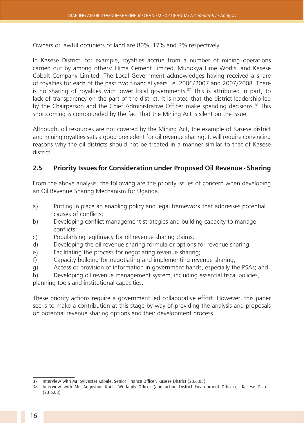Owners or lawful occupiers of land are 80%, 17% and 3% respectively.

In Kasese District, for example, royalties accrue from a number of mining operations carried out by among others: Hima Cement Limited, Muhokya Lime Works, and Kasese Cobalt Company Limited. The Local Government acknowledges having received a share of royalties for each of the past two financial years i.e. 2006/2007 and 2007/2008. There is no sharing of royalties with lower local governments.<sup>37</sup> This is attributed in part, to lack of transparency on the part of the district. It is noted that the district leadership led by the Chairperson and the Chief Administrative Officer make spending decisions.<sup>38</sup> This shortcoming is compounded by the fact that the Mining Act is silent on the issue.

Although, oil resources are not covered by the Mining Act, the example of Kasese district and mining royalties sets a good precedent for oil revenue sharing. It will require convincing reasons why the oil districts should not be treated in a manner similar to that of Kasese district.

#### **2.5 Priority Issues for Consideration under Proposed Oil Revenue - Sharing**

From the above analysis, the following are the priority issues of concern when developing an Oil Revenue Sharing Mechanism for Uganda.

- a) Putting in place an enabling policy and legal framework that addresses potential causes of conflicts;
- b) Developing conflict management strategies and building capacity to manage conflicts;
- c) Popularising legitimacy for oil revenue sharing claims;
- d) Developing the oil revenue sharing formula or options for revenue sharing;
- e) Facilitating the process for negotiating revenue sharing;
- f) Capacity building for negotiating and implementing revenue sharing;
- g) Access or provision of information in government hands, especially the PSAs; and
- h) Developing oil revenue management system, including essential fiscal policies,

planning tools and institutional capacities.

These priority actions require a government led collaborative effort. However, this paper seeks to make a contribution at this stage by way of providing the analysis and proposals on potential revenue sharing options and their development process.

<sup>37</sup> Interview with Mr. Sylvester Kabale, Senior Finance Officer, Kasese District (23.6.08)

<sup>38</sup> Interview with Mr. Augustine Kooli, Wetlands Officer (and acting District Environment Officer), Kasese District (23.6.08)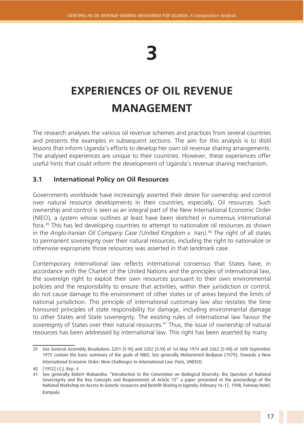# **3**

## **EXPERIENCES OF OIL REVENUE MANAGEMENT**

The research analyses the various oil revenue schemes and practices from several countries and presents the examples in subsequent sections. The aim for this analysis is to distil lessons that inform Uganda's efforts to develop her own oil revenue sharing arrangements. The analysed experiences are unique to their countries. However, these experiences offer useful hints that could inform the development of Uganda's revenue sharing mechanism.

#### **3.1 International Policy on Oil Resources**

Governments worldwide have increasingly asserted their desire for ownership and control over natural resource developments in their countries, especially, Oil resources. Such ownership and control is seen as an integral part of the New International Economic Order (NIEO), a system whose outlines at least have been sketched in numerous international fora.39 This has led developing countries to attempt to nationalize oil resources as shown in the *Anglo-Iranian Oil Company Case (United Kingdom v. Iran)*. 40 The right of all states to permanent sovereignty over their natural resources, including the right to nationalize or otherwise expropriate those resources was asserted in that landmark case.

Contemporary international law reflects international consensus that States have, in accordance with the Charter of the United Nations and the principles of international law, the sovereign right to exploit their own resources pursuant to their own environmental policies and the responsibility to ensure that activities, within their jurisdiction or control, do not cause damage to the environment of other states or of areas beyond the limits of national jurisdiction. This principle of international customary law also restates the time honoured principles of state responsibility for damage, including environmental damage to other States and State sovereignty. The existing rules of international law favour the sovereignty of States over their natural resources.<sup>41</sup> Thus, the issue of ownership of natural resources has been addressed by international law. This right has been asserted by many

<sup>39</sup> See General Assembly Resolutions 3201 (S-VI) and 3202 (S-VI) of 1st May 1974 and 3362 (S-VII) of 16th September 1975 contain the basic summary of the goals of NIEO. See generally Mohammed Bedjaoui (1979), Towards a New International Economic Order: New Challenges to International Law: Paris, UNESCO.

<sup>40 [1952]</sup> I.C.J. Rep. 4

<sup>41</sup> See generally Robert Wabunoha: "Introduction to the Convention on Biological Diversity: the Question of National Sovereignty and the Key Concepts and Requirements of Article 15" a paper presented at the proceedings of the National Workshop on Access to Genetic resources and Benefit Sharing in Uganda; February 16-17, 1998, Fairway Hotel, Kampala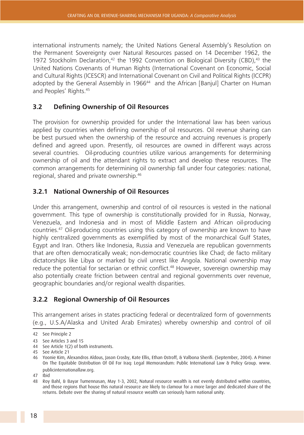international instruments namely; the United Nations General Assembly's Resolution on the Permanent Sovereignty over Natural Resources passed on 14 December 1962, the 1972 Stockholm Declaration,<sup>42</sup> the 1992 Convention on Biological Diversity (CBD),<sup>43</sup> the United Nations Covenants of Human Rights (International Covenant on Economic, Social and Cultural Rights (lCESCR) and International Covenant on Civil and Political Rights (lCCPR) adopted by the General Assembly in 1966<sup>44</sup> and the African [Banjul] Charter on Human and Peoples' Rights.45

#### **3.2 Defining Ownership of Oil Resources**

The provision for ownership provided for under the International law has been various applied by countries when defining ownership of oil resources. Oil revenue sharing can be best pursued when the ownership of the resource and accruing revenues is properly defined and agreed upon. Presently, oil resources are owned in different ways across several countries. Oil-producing countries utilize various arrangements for determining ownership of oil and the attendant rights to extract and develop these resources. The common arrangements for determining oil ownership fall under four categories: national, regional, shared and private ownership.46

#### **3.2.1 National Ownership of Oil Resources**

Under this arrangement, ownership and control of oil resources is vested in the national government. This type of ownership is constitutionally provided for in Russia, Norway, Venezuela, and Indonesia and in most of Middle Eastern and African oil-producing countries.47 Oil-producing countries using this category of ownership are known to have highly centralized governments as exemplified by most of the monarchical Gulf States, Egypt and Iran. Others like Indonesia, Russia and Venezuela are republican governments that are often democratically weak; non-democratic countries like Chad; de facto military dictatorships like Libya or marked by civil unrest like Angola. National ownership may reduce the potential for sectarian or ethnic conflict.<sup>48</sup> However, sovereign ownership may also potentially create friction between central and regional governments over revenue, geographic boundaries and/or regional wealth disparities.

#### **3.2.2 Regional Ownership of Oil Resources**

This arrangement arises in states practicing federal or decentralized form of governments (e.g., U.S.A/Alaska and United Arab Emirates) whereby ownership and control of oil

44 See Article 1(2) of both instruments.

<sup>42</sup> See Principle 2

<sup>43</sup> See Articles 3 and 15

<sup>45</sup> See Article 21

<sup>46</sup> Yoonie Kim, Alexandros Aldous, Jason Crosby, Kate Ellis, Ethan Ostroff, & Valbona Sherifi. (September, 2004). A Primer On The Equitable Distribution Of Oil For Iraq: Legal Memorandum: Public International Law & Policy Group. www. publicinternationallaw.org.

<sup>47</sup> Ibid

<sup>48</sup> Roy Bahl, & Bayar Tumennasan, May 1-3, 2002, Natural resource wealth is not evenly distributed within countries, and those regions that house this natural resource are likely to clamour for a more larger and dedicated share of the returns. Debate over the sharing of natural resource wealth can seriously harm national unity.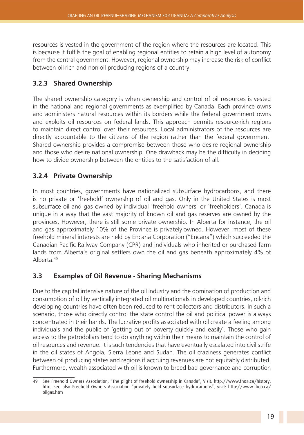resources is vested in the government of the region where the resources are located. This is because it fulfils the goal of enabling regional entities to retain a high level of autonomy from the central government. However, regional ownership may increase the risk of conflict between oil-rich and non-oil producing regions of a country.

#### **3.2.3 Shared Ownership**

The shared ownership category is when ownership and control of oil resources is vested in the national and regional governments as exemplified by Canada. Each province owns and administers natural resources within its borders while the federal government owns and exploits oil resources on federal lands. This approach permits resource-rich regions to maintain direct control over their resources. Local administrators of the resources are directly accountable to the citizens of the region rather than the federal government. Shared ownership provides a compromise between those who desire regional ownership and those who desire national ownership. One drawback may be the difficulty in deciding how to divide ownership between the entities to the satisfaction of all.

#### **3.2.4 Private Ownership**

In most countries, governments have nationalized subsurface hydrocarbons, and there is no private or 'freehold' ownership of oil and gas. Only in the United States is most subsurface oil and gas owned by individual 'freehold owners' or 'freeholders'. Canada is unique in a way that the vast majority of known oil and gas reserves are owned by the provinces. However, there is still some private ownership. In Alberta for instance, the oil and gas approximately 10% of the Province is privately-owned. However, most of these freehold mineral interests are held by Encana Corporation ("Encana") which succeeded the Canadian Pacific Railway Company (CPR) and individuals who inherited or purchased farm lands from Alberta's original settlers own the oil and gas beneath approximately 4% of Alberta.49

#### **3.3 Examples of Oil Revenue - Sharing Mechanisms**

Due to the capital intensive nature of the oil industry and the domination of production and consumption of oil by vertically integrated oil multinationals in developed countries, oil-rich developing countries have often been reduced to rent collectors and distributors. In such a scenario, those who directly control the state control the oil and political power is always concentrated in their hands. The lucrative profits associated with oil create a feeling among individuals and the public of 'getting out of poverty quickly and easily'. Those who gain access to the petrodollars tend to do anything within their means to maintain the control of oil resources and revenue. It is such tendencies that have eventually escalated into civil strife in the oil states of Angola, Sierra Leone and Sudan. The oil craziness generates conflict between oil producing states and regions if accruing revenues are not equitably distributed. Furthermore, wealth associated with oil is known to breed bad governance and corruption

<sup>49</sup> See Freehold Owners Association, "The plight of freehold ownership in Canada", Visit: http://www.fhoa.ca/history. htm, see also Freehold Owners Association "privately held subsurface hydrocarbons", visit: http://www.fhoa.ca/ oilgas.htm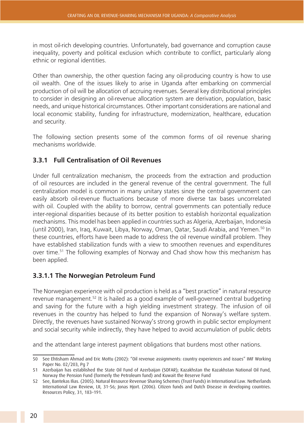in most oil-rich developing countries. Unfortunately, bad governance and corruption cause inequality, poverty and political exclusion which contribute to conflict, particularly along ethnic or regional identities.

Other than ownership, the other question facing any oil-producing country is how to use oil wealth. One of the issues likely to arise in Uganda after embarking on commercial production of oil will be allocation of accruing revenues. Several key distributional principles to consider in designing an oil-revenue allocation system are derivation, population, basic needs, and unique historical circumstances. Other important considerations are national and local economic stability, funding for infrastructure, modernization, healthcare, education and security.

The following section presents some of the common forms of oil revenue sharing mechanisms worldwide.

#### **3.3.1 Full Centralisation of Oil Revenues**

Under full centralization mechanism, the proceeds from the extraction and production of oil resources are included in the general revenue of the central government. The full centralization model is common in many unitary states since the central government can easily absorb oil-revenue fluctuations because of more diverse tax bases uncorrelated with oil. Coupled with the ability to borrow, central governments can potentially reduce inter-regional disparities because of its better position to establish horizontal equalization mechanisms. This model has been applied in countries such as Algeria, Azerbaijan, Indonesia (until 2000), Iran, Iraq, Kuwait, Libya, Norway, Oman, Qatar, Saudi Arabia, and Yemen.<sup>50</sup> In these countries, efforts have been made to address the oil revenue windfall problem. They have established stabilization funds with a view to smoothen revenues and expenditures over time.51 The following examples of Norway and Chad show how this mechanism has been applied.

#### **3.3.1.1 The Norwegian Petroleum Fund**

The Norwegian experience with oil production is held as a "best practice" in natural resource revenue management.52 It is hailed as a good example of well-governed central budgeting and saving for the future with a high yielding investment strategy. The infusion of oil revenues in the country has helped to fund the expansion of Norway's welfare system. Directly, the revenues have sustained Norway's strong growth in public sector employment and social security while indirectly, they have helped to avoid accumulation of public debts

and the attendant large interest payment obligations that burdens most other nations.

<sup>50</sup> See Ehtisham Ahmad and Eric Mottu (2002): "Oil revenue assignments: country experiences and issues" IMF Working Paper No. 02/203, Pg 7

<sup>51</sup> Azerbaijan has established the State Oil Fund of Azerbaijan (SOFAR); Kazakhstan the Kazakhstan National Oil Fund, Norway the Pension Fund (formerly the Petroleum fund) and Kuwait the Reserve Fund

<sup>52</sup> See, Bantekas Ilias. (2005). Natural Resource Revenue Sharing Schemes (Trust Funds) in International Law. Netherlands International Law Review, LII, 31-56; Jonas Hjort. (2006). Citizen funds and Dutch Disease in developing countries. Resources Policy, 31, 183–191.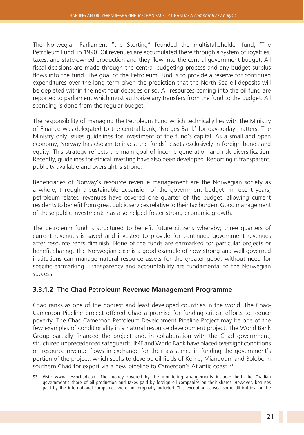The Norwegian Parliament "the Storting" founded the multistakeholder fund, 'The Petroleum Fund' in 1990. Oil revenues are accumulated there through a system of royalties, taxes, and state-owned production and they flow into the central government budget. All fiscal decisions are made through the central budgeting process and any budget surplus flows into the fund. The goal of the Petroleum Fund is to provide a reserve for continued expenditures over the long term given the prediction that the North Sea oil deposits will be depleted within the next four decades or so. All resources coming into the oil fund are reported to parliament which must authorize any transfers from the fund to the budget. All spending is done from the regular budget.

The responsibility of managing the Petroleum Fund which technically lies with the Ministry of Finance was delegated to the central bank, 'Norges Bank' for day-to-day matters. The Ministry only issues guidelines for investment of the fund's capital. As a small and open economy, Norway has chosen to invest the funds' assets exclusively in foreign bonds and equity. This strategy reflects the main goal of income generation and risk diversification. Recently, guidelines for ethical investing have also been developed. Reporting is transparent, publicity available and oversight is strong.

Beneficiaries of Norway's resource revenue management are the Norwegian society as a whole, through a sustainable expansion of the government budget. In recent years, petroleum-related revenues have covered one quarter of the budget, allowing current residents to benefit from great public services relative to their tax burden. Good management of these public investments has also helped foster strong economic growth.

The petroleum fund is structured to benefit future citizens whereby; three quarters of current revenues is saved and invested to provide for continued government revenues after resource rents diminish. None of the funds are earmarked for particular projects or benefit sharing. The Norwegian case is a good example of how strong and well governed institutions can manage natural resource assets for the greater good, without need for specific earmarking. Transparency and accountability are fundamental to the Norwegian success.

#### **3.3.1.2 The Chad Petroleum Revenue Management Programme**

Chad ranks as one of the poorest and least developed countries in the world. The Chad-Cameroon Pipeline project offered Chad a promise for funding critical efforts to reduce poverty. The Chad-Cameroon Petroleum Development Pipeline Project may be one of the few examples of conditionality in a natural resource development project. The World Bank Group partially financed the project and, in collaboration with the Chad government, structured unprecedented safeguards. IMF and World Bank have placed oversight conditions on resource revenue flows in exchange for their assistance in funding the government's portion of the project, which seeks to develop oil fields of Kome, Miandoum and Bolobo in southern Chad for export via a new pipeline to Cameroon's Atlantic coast.<sup>53</sup>

<sup>53</sup> Visit: www .essochad.com. The money covered by the monitoring arrangements includes both the Chadian government's share of oil production and taxes paid by foreign oil companies on their shares. However, bonuses paid by the international companies were not originally included. This exception caused some difficulties for the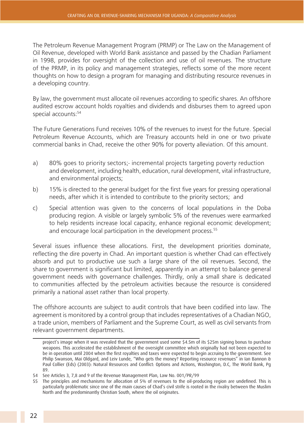The Petroleum Revenue Management Program (PRMP) or The Law on the Management of Oil Revenue, developed with World Bank assistance and passed by the Chadian Parliament in 1998, provides for oversight of the collection and use of oil revenues. The structure of the PRMP, in its policy and management strategies, reflects some of the more recent thoughts on how to design a program for managing and distributing resource revenues in a developing country.

By law, the government must allocate oil revenues according to specific shares. An offshore audited escrow account holds royalties and dividends and disburses them to agreed upon special accounts:<sup>54</sup>

The Future Generations Fund receives 10% of the revenues to invest for the future. Special Petroleum Revenue Accounts, which are Treasury accounts held in one or two private commercial banks in Chad, receive the other 90% for poverty alleviation. Of this amount.

- a) 80% goes to priority sectors;- incremental projects targeting poverty reduction and development, including health, education, rural development, vital infrastructure, and environmental projects;
- b) 15% is directed to the general budget for the first five years for pressing operational needs, after which it is intended to contribute to the priority sectors; and
- c) Special attention was given to the concerns of local populations in the Doba producing region. A visible or largely symbolic 5% of the revenues were earmarked to help residents increase local capacity, enhance regional economic development; and encourage local participation in the development process.<sup>55</sup>

Several issues influence these allocations. First, the development priorities dominate, reflecting the dire poverty in Chad. An important question is whether Chad can effectively absorb and put to productive use such a large share of the oil revenues. Second, the share to government is significant but limited, apparently in an attempt to balance general government needs with governance challenges. Thirdly, only a small share is dedicated to communities affected by the petroleum activities because the resource is considered primarily a national asset rather than local property.

The offshore accounts are subject to audit controls that have been codified into law. The agreement is monitored by a control group that includes representatives of a Chadian NGO, a trade union, members of Parliament and the Supreme Court, as well as civil servants from relevant government departments.

project's image when it was revealed that the government used some \$4.5m of its \$25m signing bonus to purchase weapons. This accelerated the establishment of the oversight committee which originally had not been expected to be in operation until 2004 when the first royalties and taxes were expected to begin accruing to the government. See Philip Swanson, Mai Oldgard, and Leiv Lunde, "Who gets the money? Reporting resource revenues" in Ian Bannon & Paul Collier (Eds) (2003): Natural Resources and Conflict: Options and Actions, Washington, D.C, The World Bank, Pg 89.

<sup>54</sup> See Articles 3, 7,8 and 9 of the Revenue Management Plan, Law No. 001/PR/99

<sup>55</sup> The principles and mechanisms for allocation of 5% of revenues to the oil-producing region are undefined. This is particularly problematic since one of the main causes of Chad's civil strife is rooted in the rivalry between the Muslim North and the predominantly Christian South, where the oil originates.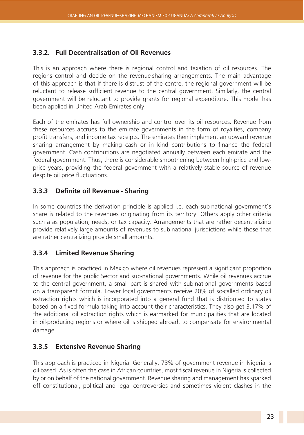#### **3.3.2. Full Decentralisation of Oil Revenues**

This is an approach where there is regional control and taxation of oil resources. The regions control and decide on the revenue-sharing arrangements. The main advantage of this approach is that if there is distrust of the centre, the regional government will be reluctant to release sufficient revenue to the central government. Similarly, the central government will be reluctant to provide grants for regional expenditure. This model has been applied in United Arab Emirates only.

Each of the emirates has full ownership and control over its oil resources. Revenue from these resources accrues to the emirate governments in the form of royalties, company profit transfers, and income tax receipts. The emirates then implement an upward revenue sharing arrangement by making cash or in kind contributions to finance the federal government. Cash contributions are negotiated annually between each emirate and the federal government. Thus, there is considerable smoothening between high-price and lowprice years, providing the federal government with a relatively stable source of revenue despite oil price fluctuations.

#### **3.3.3 Definite oil Revenue - Sharing**

In some countries the derivation principle is applied i.e. each sub-national government's share is related to the revenues originating from its territory. Others apply other criteria such a as population, needs, or tax capacity. Arrangements that are rather decentralizing provide relatively large amounts of revenues to sub-national jurisdictions while those that are rather centralizing provide small amounts.

#### **3.3.4 Limited Revenue Sharing**

This approach is practiced in Mexico where oil revenues represent a significant proportion of revenue for the public Sector and sub-national governments. While oil revenues accrue to the central government, a small part is shared with sub-national governments based on a transparent formula. Lower local governments receive 20% of so-called ordinary oil extraction rights which is incorporated into a general fund that is distributed to states based on a fixed formula taking into account their characteristics. They also get 3.17% of the additional oil extraction rights which is earmarked for municipalities that are located in oil-producing regions or where oil is shipped abroad, to compensate for environmental damage.

#### **3.3.5 Extensive Revenue Sharing**

This approach is practiced in Nigeria. Generally, 73% of government revenue in Nigeria is oil-based. As is often the case in African countries, most fiscal revenue in Nigeria is collected by or on behalf of the national government. Revenue sharing and management has sparked off constitutional, political and legal controversies and sometimes violent clashes in the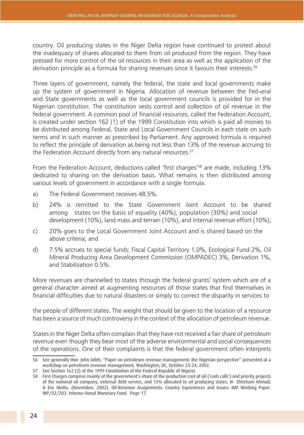country. Oil producing states in the Niger Delta region have continued to protest about the inadequacy of shares allocated to them from oil produced from the region. They have pressed for more control of the oil resources in their area as well as the application of the derivation principle as a formula for sharing revenues since it favours their interests.<sup>56</sup>

Three layers of government, namely the federal, the state and local governments make up the system of government in Nigeria. Allocation of revenue between the Fed¬eral and State governments as well as the local government councils is provided for in the Nigerian constitution. The constitution vests control and collection of oil revenue in the federal government. A common pool of financial resources, called the Federation Account, is created under section 162 (1) of the 1999 Constitution into which is paid all monies to be distributed among Federal, State and Local Government Councils in each state on such terms and in such manner as prescribed by Parliament. Any approved formula is required to reflect the principle of derivation as being not less than 13% of the revenue accruing to the Federation Account directly from any natural resources.<sup>57</sup>

From the Federation Account, deductions called 'first charges'<sup>58</sup> are made, including 13% dedicated to sharing on the derivation basis. What remains is then distributed among various levels of government in accordance with a single formula.

- a) The Federal Government receives 48.5%.
- b) 24% is remitted to the State Government Joint Account to be shared among states on the basis of equality (40%), population (30%) and social development (10%), land mass and terrain (10%), and internal revenue effort (10%);
- c) 20% goes to the Local Government Joint Account and is shared based on the above criteria; and
- d) 7.5% accrues to special funds: Fiscal Capital Territory 1.0%, Ecological Fund 2%, Oil Mineral Producing Area Development Commission (OMPADEC) 3%, Derivation 1%, and Stabilization 0.5%.

More revenues are channelled to states through the federal grants' system which are of a general character aimed at augmenting resources of those states that find themselves in financial difficulties due to natural disasters or simply to correct the disparity in services to

the people of different states. The weight that should be given to the location of a resource has been a source of much controversy in the context of the allocation of petroleum revenue.

States in the Niger Delta often complain that they have not received a fair share of petroleum revenue even though they bear most of the adverse environmental and social consequences of the operations. One of their complaints is that the federal government often interprets

<sup>56</sup> See generally Hon. John Udeh, "Paper on petroleum revenue management: the Nigerian perspective" presented at a workshop on petroleum revenue management, Washington, DC, October 23-24, 2002.

<sup>57</sup> See Section 162 (2) of the 1999 Constitution of the Federal Republic of Nigeria

<sup>58</sup> First Charges comprise mainly of the government's share of the production cost of oil ('cash calls') and priority projects of the national oil company, external debt service, and 13% allocated to oil producing states. In Ehtisham Ahmad, & Eric Mottu. (November, 2002). Oil-Revenue Assignments: Country Experiences and Issues: IMF Working Paper. WP/02/203. Interna¬tional Monetary Fund. Page 17.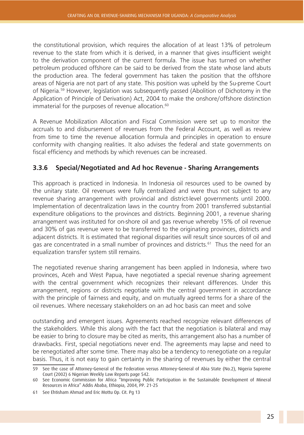the constitutional provision, which requires the allocation of at least 13% of petroleum revenue to the state from which it is derived, in a manner that gives insufficient weight to the derivation component of the current formula. The issue has turned on whether petroleum produced offshore can be said to be derived from the state whose land abuts the production area. The federal government has taken the position that the offshore areas of Nigeria are not part of any state. This position was upheld by the Su-preme Court of Nigeria.59 However, legislation was subsequently passed (Abolition of Dichotomy in the Application of Principle of Derivation) Act, 2004 to make the onshore/offshore distinction immaterial for the purposes of revenue allocation.<sup>60</sup>

A Revenue Mobilization Allocation and Fiscal Commission were set up to monitor the accruals to and disbursement of revenues from the Federal Account, as well as review from time to time the revenue allocation formula and principles in operation to ensure conformity with changing realities. It also advises the federal and state governments on fiscal efficiency and methods by which revenues can be increased.

#### **3.3.6 Special/Negotiated and Ad hoc Revenue - Sharing Arrangements**

This approach is practiced in Indonesia. In Indonesia oil resources used to be owned by the unitary state. Oil revenues were fully centralized and were thus not subject to any revenue sharing arrangement with provincial and district-level governments until 2000. Implementation of decentralization laws in the country from 2001 transferred substantial expenditure obligations to the provinces and districts. Beginning 2001, a revenue sharing arrangement was instituted for on-shore oil and gas revenue whereby 15% of oil revenue and 30% of gas revenue were to be transferred to the originating provinces, districts and adjacent districts. It is estimated that regional disparities will result since sources of oil and gas are concentrated in a small number of provinces and districts.<sup>61</sup> Thus the need for an equalization transfer system still remains.

The negotiated revenue sharing arrangement has been applied in Indonesia, where two provinces, Aceh and West Papua, have negotiated a special revenue sharing agreement with the central government which recognizes their relevant differences. Under this arrangement, regions or districts negotiate with the central government in accordance with the principle of fairness and equity, and on mutually agreed terms for a share of the oil revenues. Where necessary stakeholders on an ad hoc basis can meet and solve

outstanding and emergent issues. Agreements reached recognize relevant differences of the stakeholders. While this along with the fact that the negotiation is bilateral and may be easier to bring to closure may be cited as merits, this arrangement also has a number of drawbacks. First, special negotiations never end. The agreements may lapse and need to be renegotiated after some time. There may also be a tendency to renegotiate on a regular basis. Thus, it is not easy to gain certainty in the sharing of revenues by either the central

<sup>59</sup> See the case of Attorney-General of the Federation versus Attorney-General of Abia State (No.2), Nigeria Supreme Court (2002) 6 Nigerian Weekly Law Reports page 542.

<sup>60</sup> See Economic Commission for Africa "Improving Public Participation in the Sustainable Development of Mineral Resources in Africa" Addis Ababa, Ethiopia, 2004, PP. 21-25

<sup>61</sup> See Ehtisham Ahmad and Eric Mottu Op. Cit. Pg 13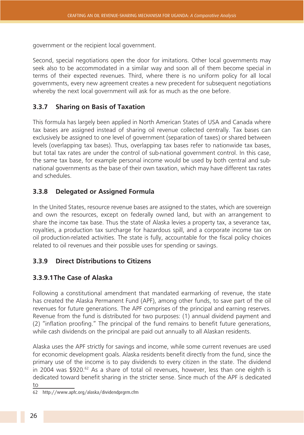government or the recipient local government.

Second, special negotiations open the door for imitations. Other local governments may seek also to be accommodated in a similar way and soon all of them become special in terms of their expected revenues. Third, where there is no uniform policy for all local governments, every new agreement creates a new precedent for subsequent negotiations whereby the next local government will ask for as much as the one before.

#### **3.3.7 Sharing on Basis of Taxation**

This formula has largely been applied in North American States of USA and Canada where tax bases are assigned instead of sharing oil revenue collected centrally. Tax bases can exclusively be assigned to one level of government (separation of taxes) or shared between levels (overlapping tax bases). Thus, overlapping tax bases refer to nationwide tax bases, but total tax rates are under the control of sub-national government control. In this case, the same tax base, for example personal income would be used by both central and subnational governments as the base of their own taxation, which may have different tax rates and schedules.

#### **3.3.8 Delegated or Assigned Formula**

In the United States, resource revenue bases are assigned to the states, which are sovereign and own the resources, except on federally owned land, but with an arrangement to share the income tax base. Thus the state of Alaska levies a property tax, a severance tax, royalties, a production tax surcharge for hazardous spill, and a corporate income tax on oil production-related activities. The state is fully, accountable for the fiscal policy choices related to oil revenues and their possible uses for spending or savings.

#### **3.3.9 Direct Distributions to Citizens**

#### **3.3.9.1The Case of Alaska**

Following a constitutional amendment that mandated earmarking of revenue, the state has created the Alaska Permanent Fund (APF), among other funds, to save part of the oil revenues for future generations. The APF comprises of the principal and earning reserves. Revenue from the fund is distributed for two purposes: (1) annual dividend payment and (2) "inflation proofing." The principal of the fund remains to benefit future generations, while cash dividends on the principal are paid out annually to all Alaskan residents.

Alaska uses the APF strictly for savings and income, while some current revenues are used for economic development goals. Alaska residents benefit directly from the fund, since the primary use of the income is to pay dividends to every citizen in the state. The dividend in 2004 was \$920. $<sup>62</sup>$  As a share of total oil revenues, however, less than one eighth is</sup> dedicated toward benefit sharing in the stricter sense. Since much of the APF is dedicated

to

<sup>62</sup> http://www.apfc.org/alaska/dividendprgrm.cfm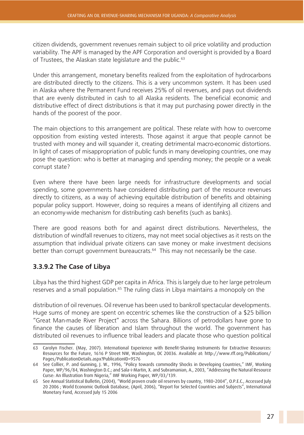citizen dividends, government revenues remain subject to oil price volatility and production variability. The APF is managed by the APF Corporation and oversight is provided by a Board of Trustees, the Alaskan state legislature and the public.<sup>63</sup>

Under this arrangement, monetary benefits realized from the exploitation of hydrocarbons are distributed directly to the citizens. This is a very uncommon system. It has been used in Alaska where the Permanent Fund receives 25% of oil revenues, and pays out dividends that are evenly distributed in cash to all Alaska residents. The beneficial economic and distributive effect of direct distributions is that it may put purchasing power directly in the hands of the poorest of the poor.

The main objections to this arrangement are political. These relate with how to overcome opposition from existing vested interests. Those against it argue that people cannot be trusted with money and will squander it, creating detrimental macro-economic distortions. In light of cases of misappropriation of public funds in many developing countries, one may pose the question: who is better at managing and spending money; the people or a weak corrupt state?

Even where there have been large needs for infrastructure developments and social spending, some governments have considered distributing part of the resource revenues directly to citizens, as a way of achieving equitable distribution of benefits and obtaining popular policy support. However, doing so requires a means of identifying all citizens and an economy-wide mechanism for distributing cash benefits (such as banks).

There are good reasons both for and against direct distributions. Nevertheless, the distribution of windfall revenues to citizens, may not meet social objectives as it rests on the assumption that individual private citizens can save money or make investment decisions better than corrupt government bureaucrats.<sup>64</sup> This may not necessarily be the case.

#### **3.3.9.2 The Case of Libya**

Libya has the third highest GDP per capita in Africa. This is largely due to her large petroleum reserves and a small population.<sup>65</sup> The ruling class in Libya maintains a monopoly on the

distribution of oil revenues. Oil revenue has been used to bankroll spectacular developments. Huge sums of money are spent on eccentric schemes like the construction of a \$25 billion "Great Man-made River Project" across the Sahara. Billions of petrodollars have gone to finance the causes of liberation and Islam throughout the world. The government has distributed oil revenues to influence tribal leaders and placate those who question political

<sup>63</sup> Carolyn Fischer. (May, 2007). International Experience with Benefit-Sharing Instruments for Extractive Resources: Resources for the Future, 1616 P Street NW, Washington, DC 20036. Available at: http://www.rff.org/Publications/ Pages/PublicationDetails.aspx?PublicationID=9576

<sup>64</sup> See Collier, P. and Gunning, J. W., 1996, "Policy towards commodity Shocks in Developing Countries," IMF, Working Paper, WP/96/84, Washington D.C.; and Sala-i-Martin, X. and Subramanian, A., 2003, "Addressing the Natural Resource Curse: An Illustration from Nigeria," IMF Working Paper, WP/03/139.

<sup>65</sup> See Annual Statistical Bulletin, (2004), "World proven crude oil reserves by country, 1980–2004", O.P.E.C., Accessed July 20 2006 ; World Economic Outlook Database, (April, 2006), "Report for Selected Countries and Subjects", International Monetary Fund, Accessed July 15 2006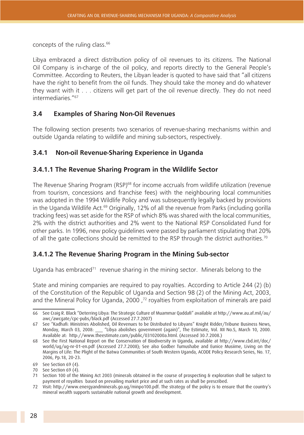concepts of the ruling class.<sup>66</sup>

Libya embraced a direct distribution policy of oil revenues to its citizens. The National Oil Company is in-charge of the oil policy, and reports directly to the General People's Committee. According to Reuters, the Libyan leader is quoted to have said that "all citizens have the right to benefit from the oil funds. They should take the money and do whatever they want with it . . . citizens will get part of the oil revenue directly. They do not need intermediaries."67

#### **3.4 Examples of Sharing Non-Oil Revenues**

The following section presents two scenarios of revenue-sharing mechanisms within and outside Uganda relating to wildlife and mining sub-sectors, respectively.

#### **3.4.1 Non-oil Revenue-Sharing Experience in Uganda**

#### **3.4.1.1 The Revenue Sharing Program in the Wildlife Sector**

The Revenue Sharing Program (RSP)<sup>68</sup> for income accruals from wildlife utilization (revenue from tourism, concessions and franchise fees) with the neighbouring local communities was adopted in the 1994 Wildlife Policy and was subsequently legally backed by provisions in the Uganda Wildlife Act.<sup>69</sup> Originally, 12% of all the revenue from Parks (including gorilla tracking fees) was set aside for the RSP of which 8% was shared with the local communities, 2% with the district authorities and 2% went to the National RSP Consolidated Fund for other parks. In 1996, new policy guidelines were passed by parliament stipulating that 20% of all the gate collections should be remitted to the RSP through the district authorities.<sup>70</sup>

#### **3.4.1.2 The Revenue Sharing Program in the Mining Sub-sector**

Uganda has embraced<sup>71</sup> revenue sharing in the mining sector. Minerals belong to the

State and mining companies are required to pay royalties. According to Article 244 (2) (b) of the Constitution of the Republic of Uganda and Section 98 (2) of the Mining Act, 2003, and the Mineral Policy for Uganda, 2000,<sup>72</sup> royalties from exploitation of minerals are paid

<sup>66</sup> See Craig R. Black "Deterring Libya: The Strategic Culture of Muammar Qaddafi" available at http://www.au.af.mil/au/ awc/awcgate/cpc-pubs/black.pdf (Accessed 27.7.2007)

<sup>67</sup> See "Kadhafi: Ministries Abolished, Oil Revenues to be Distributed to Libyans" Knight Ridder/Tribune Business News, Monday, March 03, 2008: \_\_\_ "Libya abolishes government (again)", The Estimate, Vol. XII No.5, March 10, 2000. Available at: http://www.theestimate.com/public/03102000a.html. (Accessed 30.7.2008.)

<sup>68</sup> See the First National Report on the Conservation of Biodiversity in Uganda, available at http://www.cbd.int/doc/ world/ug/ug-nr-01-en.pdf (Accessed 27.7.2008); See also Godber Tumushabe and Eunice Musiime, Living on the Margins of Life: The Plight of the Batwa Communities of South Western Uganda, ACODE Policy Research Series, No. 17, 2006, Pp.18, 20-23.

<sup>69</sup> See Section 69 (4).

<sup>70</sup> See Section 69 (4).

<sup>71</sup> Section 100 of the Mining Act 2003 (minerals obtained in the course of prospecting & exploration shall be subject to payment of royalties based on prevailing market price and at such rates as shall be prescribed.

<sup>72</sup> Visit: http://www.energyandminerals.go.ug/minpo100.pdf. The strategy of the policy is to ensure that the country's mineral wealth supports sustainable national growth and development.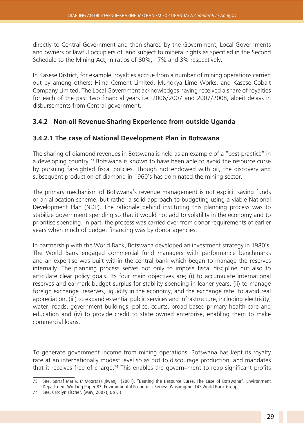directly to Central Government and then shared by the Government, Local Governments and owners or lawful occupiers of land subject to mineral rights as specified in the Second Schedule to the Mining Act, in ratios of 80%, 17% and 3% respectively.

In Kasese District, for example, royalties accrue from a number of mining operations carried out by among others: Hima Cement Limited, Muhokya Lime Works, and Kasese Cobalt Company Limited. The Local Government acknowledges having received a share of royalties for each of the past two financial years i.e. 2006/2007 and 2007/2008, albeit delays in disbursements from Central government.

#### **3.4.2 Non-oil Revenue-Sharing Experience from outside Uganda**

#### **3.4.2.1 The case of National Development Plan in Botswana**

The sharing of diamond-revenues in Botswana is held as an example of a "best practice" in a developing country.<sup>73</sup> Botswana is known to have been able to avoid the resource curse by pursuing far-sighted fiscal policies. Though not endowed with oil, the discovery and subsequent production of diamond in 1960's has dominated the mining sector.

The primary mechanism of Botswana's revenue management is not explicit saving funds or an allocation scheme, but rather a solid approach to budgeting using a viable National Development Plan (NDP). The rationale behind instituting this planning process was to stabilize government spending so that it would not add to volatility in the economy and to prioritise spending. In part, the process was carried over from donor requirements of earlier years when much of budget financing was by donor agencies.

In partnership with the World Bank, Botswana developed an investment strategy in 1980's. The World Bank engaged commercial fund managers with performance benchmarks and an expertise was built within the central bank which began to manage the reserves internally. The planning process serves not only to impose fiscal discipline but also to articulate clear policy goals. Its four main objectives are; (i) to accumulate international reserves and earmark budget surplus for stability spending in leaner years, (ii) to manage foreign exchange reserves, liquidity in the economy, and the exchange rate to avoid real appreciation, (iii) to expand essential public services and infrastructure, including electricity, water, roads, government buildings, police, courts, broad based primary health care and education and (iv) to provide credit to state owned enterprise, enabling them to make commercial loans.

To generate government income from mining operations, Botswana has kept its royalty rate at an internationally modest level so as not to discourage production, and mandates that it receives free of charge.<sup>74</sup> This enables the govern-ment to reap significant profits

<sup>73</sup> See, Sarraf Maria, & Moortaza Jiwanji. (2001). "Beating the Resource Curse: The Case of Botswana". Environment Department Working Paper 83. Environmental Economics Series: Washington, DC: World Bank Group.

<sup>74</sup> See, Carolyn Fischer. (May, 2007), Op Cit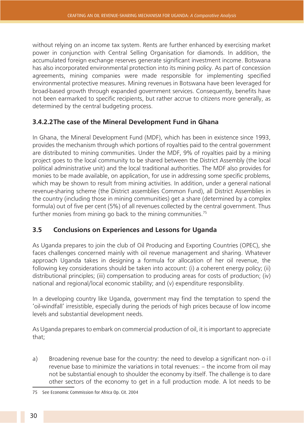without relying on an income tax system. Rents are further enhanced by exercising market power in conjunction with Central Selling Organisation for diamonds. In addition, the accumulated foreign exchange reserves generate significant investment income. Botswana has also incorporated environmental protection into its mining policy. As part of concession agreements, mining companies were made responsible for implementing specified environmental protective measures. Mining revenues in Botswana have been leveraged for broad-based growth through expanded government services. Consequently, benefits have not been earmarked to specific recipients, but rather accrue to citizens more generally, as determined by the central budgeting process.

#### **3.4.2.2The case of the Mineral Development Fund in Ghana**

In Ghana, the Mineral Development Fund (MDF), which has been in existence since 1993, provides the mechanism through which portions of royalties paid to the central government are distributed to mining communities. Under the MDF, 9% of royalties paid by a mining project goes to the local community to be shared between the District Assembly (the local political administrative unit) and the local traditional authorities. The MDF also provides for monies to be made available, on application, for use in addressing some specific problems, which may be shown to result from mining activities. In addition, under a general national revenue-sharing scheme (the District assemblies Common Fund), all District Assemblies in the country (including those in mining communities) get a share (determined by a complex formula) out of five per cent (5%) of all revenues collected by the central government. Thus further monies from mining go back to the mining communities.<sup>75</sup>

#### **3.5 Conclusions on Experiences and Lessons for Uganda**

As Uganda prepares to join the club of Oil Producing and Exporting Countries (OPEC), she faces challenges concerned mainly with oil revenue management and sharing. Whatever approach Uganda takes in designing a formula for allocation of her oil revenue, the following key considerations should be taken into account: (i) a coherent energy policy; (ii) distributional principles; (iii) compensation to producing areas for costs of production; (iv) national and regional/local economic stability; and (v) expenditure responsibility.

In a developing country like Uganda, government may find the temptation to spend the 'oil-windfall' irresistible, especially during the periods of high prices because of low income levels and substantial development needs.

As Uganda prepares to embark on commercial production of oil, it is important to appreciate that;

a) Broadening revenue base for the country: the need to develop a significant non- o i l revenue base to minimize the variations in total revenues: – the income from oil may not be substantial enough to shoulder the economy by itself. The challenge is to dare other sectors of the economy to get in a full production mode. A lot needs to be

<sup>75</sup> See Economic Commission for Africa Op. Cit. 2004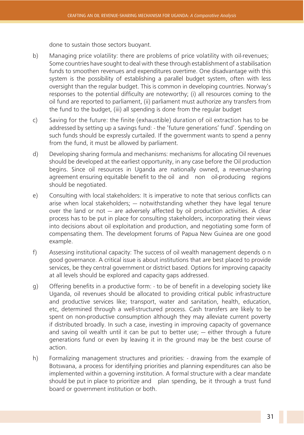done to sustain those sectors buoyant.

- b) Managing price volatility: there are problems of price volatility with oil-revenues; Some countries have sought to deal with these through establishment of a stabilisation funds to smoothen revenues and expenditures overtime. One disadvantage with this system is the possibility of establishing a parallel budget system, often with less oversight than the regular budget. This is common in developing countries. Norway's responses to the potential difficulty are noteworthy; (i) all resources coming to the oil fund are reported to parliament, (ii) parliament must authorize any transfers from the fund to the budget, (iii) all spending is done from the regular budget
- c) Saving for the future: the finite (exhaustible) duration of oil extraction has to be addressed by setting up a savings fund: - the 'future generations' fund'. Spending on such funds should be expressly curtailed. If the government wants to spend a penny from the fund, it must be allowed by parliament.
- d) Developing sharing formula and mechanisms: mechanisms for allocating Oil revenues should be developed at the earliest opportunity, in any case before the Oil production begins. Since oil resources in Uganda are nationally owned, a revenue-sharing agreement ensuring equitable benefit to the oil and non oil-producing regions should be negotiated.
- e) Consulting with local stakeholders: It is imperative to note that serious conflicts can arise when local stakeholders; — notwithstanding whether they have legal tenure over the land or not — are adversely affected by oil production activities. A clear process has to be put in place for consulting stakeholders, incorporating their views into decisions about oil exploitation and production, and negotiating some form of compensating them. The development forums of Papua New Guinea are one good example.
- f) Assessing institutional capacity: The success of oil wealth management depends o n good governance. A critical issue is about institutions that are best placed to provide services, be they central government or district based. Options for improving capacity at all levels should be explored and capacity gaps addressed.
- g) Offering benefits in a productive form: to be of benefit in a developing society like Uganda, oil revenues should be allocated to providing critical public infrastructure and productive services like; transport, water and sanitation, health, education, etc, determined through a well-structured process. Cash transfers are likely to be spent on non-productive consumption although they may alleviate current poverty if distributed broadly. In such a case, investing in improving capacity of governance and saving oil wealth until it can be put to better use; — either through a future generations fund or even by leaving it in the ground may be the best course of action.
- h) Formalizing management structures and priorities: drawing from the example of Botswana, a process for identifying priorities and planning expenditures can also be implemented within a governing institution. A formal structure with a clear mandate should be put in place to prioritize and plan spending, be it through a trust fund board or government institution or both.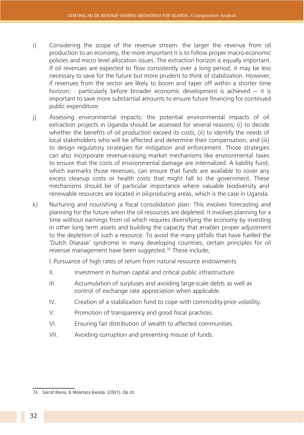- i) Considering the scope of the revenue stream: the larger the revenue from oil production to an economy, the more important it is to follow proper macro-economic policies and micro level allocation issues. The extraction horizon is equally important. If oil revenues are expected to flow consistently over a long period, it may be less necessary to save for the future but more prudent to think of stabilization. However, if revenues from the sector are likely to boom and taper off within a shorter time horizon; - particularly before broader economic development is achieved — it is important to save more substantial amounts to ensure future financing for continued public expenditure.
- j) Assessing environmental impacts: the potential environmental impacts of oil extraction projects in Uganda should be assessed for several reasons; (i) to decide whether the benefits of oil production exceed its costs, (ii) to identify the needs of local stakeholders who will be affected and determine their compensation, and (iii) to design regulatory strategies for mitigation and enforcement. Those strategies can also incorporate revenue-raising market mechanisms like environmental taxes to ensure that the costs of environmental damage are internalized. A liability fund, which earmarks those revenues, can ensure that funds are available to cover any excess cleanup costs or health costs that might fall to the government. These mechanisms should be of particular importance where valuable biodiversity and renewable resources are located in oil-producing areas, which is the case in Uganda.
- k) Nurturing and nourishing a fiscal consolidation plan: This involves forecasting and planning for the future when the oil resources are depleted. It involves planning for a time without earnings from oil which requires diversifying the economy by investing in other long term assets and building the capacity that enables proper adjustment to the depletion of such a resource. To avoid the many pitfalls that have fuelled the 'Dutch Disease' syndrome in many developing countries, certain principles for oil revenue management have been suggested.76 These include;

I. Pursuance of high rates of return from natural resource endowments.

- II. Investment in human capital and critical public infrastructure.
- III. Accumulation of surpluses and avoiding large-scale debts as well as control of exchange rate appreciation when applicable.
- IV. Creation of a stabilization fund to cope with commodity-price volatility.
- V. Promotion of transparency and good fiscal practices.
- VI. Ensuring fair distribution of wealth to affected communities.
- VII. Avoiding corruption and preventing misuse of funds.

<sup>76</sup> Sarraf Maria, & Moortaza Jiwanji. (2001). Op cit.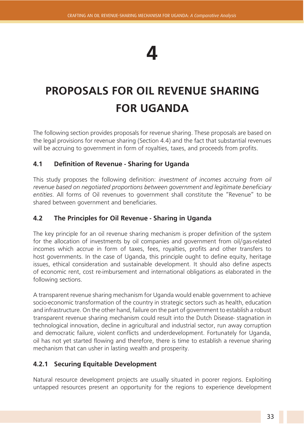# **4**

## **PROPOSALS FOR OIL REVENUE SHARING FOR UGANDA**

The following section provides proposals for revenue sharing. These proposals are based on the legal provisions for revenue sharing (Section 4.4) and the fact that substantial revenues will be accruing to government in form of royalties, taxes, and proceeds from profits.

#### **4.1 Definition of Revenue - Sharing for Uganda**

This study proposes the following definition: *investment of incomes accruing from oil revenue based on negotiated proportions between government and legitimate beneficiary entities*. All forms of Oil revenues to government shall constitute the "Revenue" to be shared between government and beneficiaries.

#### **4.2 The Principles for Oil Revenue - Sharing in Uganda**

The key principle for an oil revenue sharing mechanism is proper definition of the system for the allocation of investments by oil companies and government from oil/gas-related incomes which accrue in form of taxes, fees, royalties, profits and other transfers to host governments. In the case of Uganda, this principle ought to define equity, heritage issues, ethical consideration and sustainable development. It should also define aspects of economic rent, cost re-imbursement and international obligations as elaborated in the following sections.

A transparent revenue sharing mechanism for Uganda would enable government to achieve socio-economic transformation of the country in strategic sectors such as health, education and infrastructure. On the other hand, failure on the part of government to establish a robust transparent revenue sharing mechanism could result into the Dutch Disease- stagnation in technological innovation, decline in agricultural and industrial sector, run away corruption and democratic failure, violent conflicts and underdevelopment. Fortunately for Uganda, oil has not yet started flowing and therefore, there is time to establish a revenue sharing mechanism that can usher in lasting wealth and prosperity.

#### **4.2.1 Securing Equitable Development**

Natural resource development projects are usually situated in poorer regions. Exploiting untapped resources present an opportunity for the regions to experience development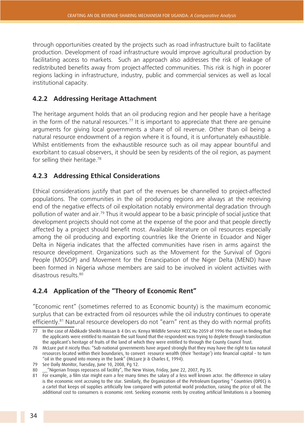through opportunities created by the projects such as road infrastructure built to facilitate production. Development of road infrastructure would improve agricultural production by facilitating access to markets. Such an approach also addresses the risk of leakage of redistributed benefits away from project-affected communities. This risk is high in poorer regions lacking in infrastructure, industry, public and commercial services as well as local institutional capacity.

#### **4.2.2 Addressing Heritage Attachment**

The heritage argument holds that an oil producing region and her people have a heritage in the form of the natural resources.<sup>77</sup> It is important to appreciate that there are genuine arguments for giving local governments a share of oil revenue. Other than oil being a natural resource endowment of a region where it is found, it is unfortunately exhaustible. Whilst entitlements from the exhaustible resource such as oil may appear bountiful and exorbitant to casual observers, it should be seen by residents of the oil region, as payment for selling their heritage.78

#### **4.2.3 Addressing Ethical Considerations**

Ethical considerations justify that part of the revenues be channelled to project-affected populations. The communities in the oil producing regions are always at the receiving end of the negative effects of oil exploitation notably environmental degradation through pollution of water and air.<sup>79</sup> Thus it would appear to be a basic principle of social justice that development projects should not come at the expense of the poor and that people directly affected by a project should benefit most. Available literature on oil resources especially among the oil producing and exporting countries like the Oriente in Ecuador and Niger Delta in Nigeria indicates that the affected communities have risen in arms against the resource development. Organizations such as the Movement for the Survival of Ogoni People (MOSOP) and Movement for the Emancipation of the Niger Delta (MEND) have been formed in Nigeria whose members are said to be involved in violent activities with disastrous results.<sup>80</sup>

#### **4.2.4 Application of the "Theory of Economic Rent"**

"Economic rent" (sometimes referred to as Economic bounty) is the maximum economic surplus that can be extracted from oil resources while the oil industry continues to operate efficiently.<sup>81</sup> Natural resource developers do not "earn" rent as they do with normal profits

<sup>77</sup> In the case of Abdikadir Sheikh Hassan & 4 Ors vs: Kenya Wildlife Service HCCC No 2059 of 1996 the court in finding that the applicants were entitled to maintain the suit found that the respondent was trying to deplete through translocation the applicant's heritage of fruits of the land of which they were entitled to through the County Council Trust.

<sup>78</sup> McLure put it nicely thus: "Sub-national governments have argued strongly that they may have the right to tax natural resources located within their boundaries, to convert resource wealth (their 'heritage') into financial capital – to turn "oil in the ground into money in the bank" (McLure Jr & Charles E, 1994).

<sup>79</sup> See Daily Monitor, Tuesday, June 10, 2008, Pg 12.

<sup>80</sup> \_ "Nigerian Troops repossess oil facility", The New Vision, Friday, June 22, 2007, Pg 35.

<sup>81</sup> For example, a film star might earn a fee many times the salary of a less well known actor. The difference in salary is the economic rent accruing to the star. Similarly, the Organization of the Petroleum Exporting " Countries (OPEC) is a cartel that keeps oil supplies artificially low compared with potential world production, raising the price of oil. The additional cost to consumers is economic rent. Seeking economic rents by creating artificial limitations is a booming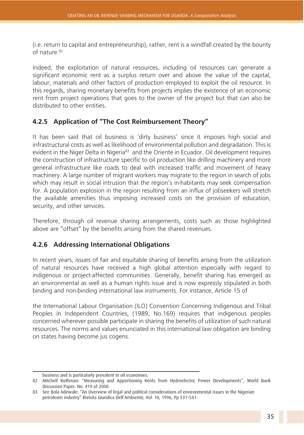(i.e. return to capital and entrepreneurship), rather, rent is a windfall created by the bounty of nature<sup>82</sup>

Indeed, the exploitation of natural resources, including oil resources can generate a significant economic rent as a surplus return over and above the value of the capital, labour, materials and other factors of production employed to exploit the oil resource. In this regards, sharing monetary benefits from projects implies the existence of an economic rent from project operations that goes to the owner of the project but that can also be distributed to other entities.

#### **4.2.5 Application of "The Cost Reimbursement Theory"**

It has been said that oil business is 'dirty business' since it imposes high social and infrastructural costs as well as likelihood of environmental pollution and degradation. This is evident in the Niger Delta in Nigeria<sup>83</sup> and the Oriente in Ecuador. Oil development requires the construction of infrastructure specific to oil production like drilling machinery and more general infrastructure like roads to deal with increased traffic and movement of heavy machinery. A large number of migrant workers may migrate to the region in search of jobs which may result in social intrusion that the region's in-habitants may seek compensation for. A population explosion in the region resulting from an influx of jobseekers will stretch the available amenities thus imposing increased costs on the provision of education, security, and other services.

Therefore, through oil revenue sharing arrangements, costs such as those highlighted above are "offset" by the benefits arising from the shared revenues.

#### **4.2.6 Addressing International Obligations**

In recent years, issues of fair and equitable sharing of benefits arising from the utilization of natural resources have received a high global attention especially with regard to indigenous or project-affected communities. Generally, benefit sharing has emerged as an environmental as well as a human rights issue and is now expressly stipulated in both binding and non-binding international law instruments. For instance, Article 15 of

the International Labour Organisation (ILO) Convention Concerning Indigenous and Tribal Peoples in Independent Countries, (1989, No.169) requires that indigenous peoples concerned wherever possible participate in sharing the benefits of utilization of such natural resources. The norms and values enunciated in this international law obligation are binding on states having become jus cogens.

business and is particularly prevalent in oil economies.

<sup>82</sup> Mitchell Rothman: "Measuring and Apportioning Rents from Hydroelectric Power Developments", World Bank Discussion Paper. No. 419 of 2000.

<sup>83</sup> See Bola Adewale: "An Overview of legal and political considerations of environmental issues in the Nigerian petroleum industry" Rivisita Giuridica Dell'Ambiente, Vol. 10, 1996, Pp 531-541.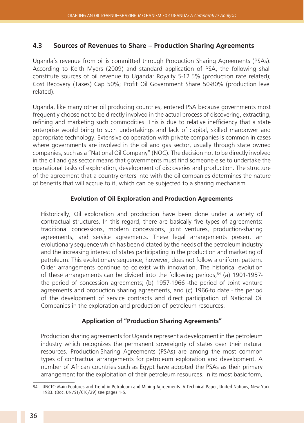#### **4.3 Sources of Revenues to Share – Production Sharing Agreements**

Uganda's revenue from oil is committed through Production Sharing Agreements (PSAs). According to Keith Myers (2009) and standard application of PSA, the following shall constitute sources of oil revenue to Uganda: Royalty 5-12.5% (production rate related); Cost Recovery (Taxes) Cap 50%; Profit Oil Government Share 50-80% (production level related).

Uganda, like many other oil producing countries, entered PSA because governments most frequently choose not to be directly involved in the actual process of discovering, extracting, refining and marketing such commodities. This is due to relative inefficiency that a state enterprise would bring to such undertakings and lack of capital, skilled manpower and appropriate technology. Extensive co-operation with private companies is common in cases where governments are involved in the oil and gas sector, usually through state owned companies, such as a "National Oil Company" (NOC). The decision not to be directly involved in the oil and gas sector means that governments must find someone else to undertake the operational tasks of exploration, development of discoveries and production. The structure of the agreement that a country enters into with the oil companies determines the nature of benefits that will accrue to it, which can be subjected to a sharing mechanism.

#### **Evolution of Oil Exploration and Production Agreements**

Historically, Oil exploration and production have been done under a variety of contractual structures. In this regard, there are basically five types of agreements: traditional concessions, modern concessions, joint ventures, production-sharing agreements, and service agreements. These legal arrangements present an evolutionary sequence which has been dictated by the needs of the petroleum industry and the increasing interest of states participating in the production and marketing of petroleum. This evolutionary sequence, however, does not follow a uniform pattern. Older arrangements continue to co-exist with innovation. The historical evolution of these arrangements can be divided into the following periods; $84$  (a) 1901-1957the period of concession agreements; (b) 1957-1966 -the period of Joint venture agreements and production sharing agreements, and (c) 1966-to date - the period of the development of service contracts and direct participation of National Oil Companies in the exploration and production of petroleum resources.

#### **Application of "Production Sharing Agreements"**

Production sharing agreements for Uganda represent a development in the petroleum industry which recognizes the permanent sovereignty of states over their natural resources. Production-Sharing Agreements (PSAs) are among the most common types of contractual arrangements for petroleum exploration and development. A number of African countries such as Egypt have adopted the PSAs as their primary arrangement for the exploitation of their petroleum resources. In its most basic form,

<sup>84</sup> UNCTC: Main Features and Trend in Petroleum and Mining Agreements. A Technical Paper, United Nations, New York, 1983. (Doc. UN/ST/CTC/29) see pages 1-5.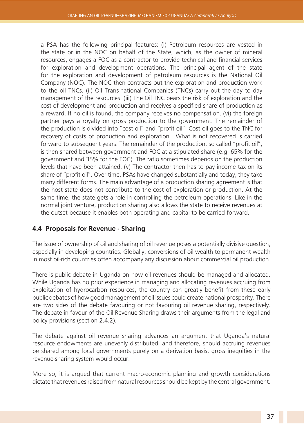a PSA has the following principal features: (i) Petroleum resources are vested in the state or in the NOC on behalf of the State, which, as the owner of mineral resources, engages a FOC as a contractor to provide technical and financial services for exploration and development operations. The principal agent of the state for the exploration and development of petroleum resources is the National Oil Company (NOC). The NOC then contracts out the exploration and production work to the oil TNCs. (ii) Oil Trans-national Companies (TNCs) carry out the day to day management of the resources. (iii) The Oil TNC bears the risk of exploration and the cost of development and production and receives a specified share of production as a reward. If no oil is found, the company receives no compensation. (vi) the foreign partner pays a royalty on gross production to the government. The remainder of the production is divided into "cost oil" and "profit oil". Cost oil goes to the TNC for recovery of costs of production and exploration. What is not recovered is carried forward to subsequent years. The remainder of the production, so called "profit oil", is then shared between government and FOC at a stipulated share (e.g. 65% for the government and 35% for the FOC). The ratio sometimes depends on the production levels that have been attained. (v) The contractor then has to pay income tax on its share of "profit oil". Over time, PSAs have changed substantially and today, they take many different forms. The main advantage of a production sharing agreement is that the host state does not contribute to the cost of exploration or production. At the same time, the state gets a role in controlling the petroleum operations. Like in the normal joint venture, production sharing also allows the state to receive revenues at the outset because it enables both operating and capital to be carried forward.

#### **4.4 Proposals for Revenue - Sharing**

The issue of ownership of oil and sharing of oil revenue poses a potentially divisive question, especially in developing countries. Globally, conversions of oil wealth to permanent wealth in most oil-rich countries often accompany any discussion about commercial oil production.

There is public debate in Uganda on how oil revenues should be managed and allocated. While Uganda has no prior experience in managing and allocating revenues accruing from exploitation of hydrocarbon resources, the country can greatly benefit from these early public debates of how good management of oil issues could create national prosperity. There are two sides of the debate favouring or not favouring oil revenue sharing, respectively. The debate in favour of the Oil Revenue Sharing draws their arguments from the legal and policy provisions (section 2.4.2).

The debate against oil revenue sharing advances an argument that Uganda's natural resource endowments are unevenly distributed, and therefore, should accruing revenues be shared among local governments purely on a derivation basis, gross inequities in the revenue-sharing system would occur.

More so, it is argued that current macro-economic planning and growth considerations dictate that revenues raised from natural resources should be kept by the central government.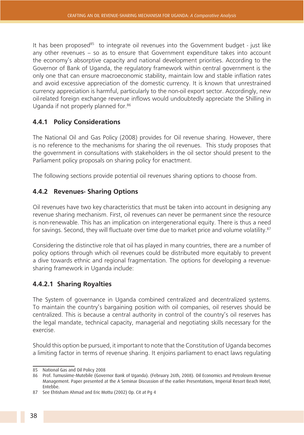It has been proposed<sup>85</sup> to integrate oil revenues into the Government budget - just like any other revenues – so as to ensure that Government expenditure takes into account the economy's absorptive capacity and national development priorities. According to the Governor of Bank of Uganda, the regulatory framework within central government is the only one that can ensure macroeconomic stability, maintain low and stable inflation rates and avoid excessive appreciation of the domestic currency. It is known that unrestrained currency appreciation is harmful, particularly to the non-oil export sector. Accordingly, new oil-related foreign exchange revenue inflows would undoubtedly appreciate the Shilling in Uganda if not properly planned for.<sup>86</sup>

#### **4.4.1 Policy Considerations**

The National Oil and Gas Policy (2008) provides for Oil revenue sharing. However, there is no reference to the mechanisms for sharing the oil revenues. This study proposes that the government in consultations with stakeholders in the oil sector should present to the Parliament policy proposals on sharing policy for enactment.

The following sections provide potential oil revenues sharing options to choose from.

#### **4.4.2 Revenues- Sharing Options**

Oil revenues have two key characteristics that must be taken into account in designing any revenue sharing mechanism. First, oil revenues can never be permanent since the resource is non-renewable. This has an implication on intergenerational equity. There is thus a need for savings. Second, they will fluctuate over time due to market price and volume volatility.<sup>87</sup>

Considering the distinctive role that oil has played in many countries, there are a number of policy options through which oil revenues could be distributed more equitably to prevent a dive towards ethnic and regional fragmentation. The options for developing a revenuesharing framework in Uganda include:

#### **4.4.2.1 Sharing Royalties**

The System of governance in Uganda combined centralized and decentralized systems. To maintain the country's bargaining position with oil companies, oil reserves should be centralized. This is because a central authority in control of the country's oil reserves has the legal mandate, technical capacity, managerial and negotiating skills necessary for the exercise.

Should this option be pursued, it important to note that the Constitution of Uganda becomes a limiting factor in terms of revenue sharing. It enjoins parliament to enact laws regulating

<sup>85</sup> National Gas and Oil Policy 2008

<sup>86</sup> Prof. Tumusiime-Mutebile (Governor Bank of Uganda). (February 26th, 2008). Oil Economics and Petroleum Revenue Management. Paper presented at the A Seminar Discussion of the earlier Presentations, Imperial Resort Beach Hotel, Entebbe.

<sup>87</sup> See Ehtisham Ahmad and Eric Mottu (2002) Op. Cit at Pg 4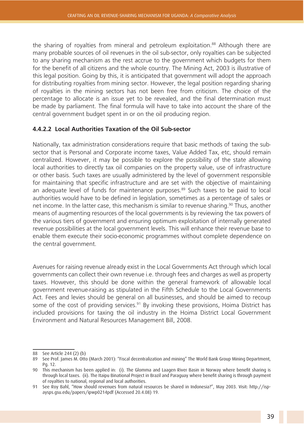the sharing of royalties from mineral and petroleum exploitation.<sup>88</sup> Although there are many probable sources of oil revenues in the oil sub-sector, only royalties can be subjected to any sharing mechanism as the rest accrue to the government which budgets for them for the benefit of all citizens and the whole country. The Mining Act, 2003 is illustrative of this legal position. Going by this, it is anticipated that government will adopt the approach for distributing royalties from mining sector. However, the legal position regarding sharing of royalties in the mining sectors has not been free from criticism. The choice of the percentage to allocate is an issue yet to be revealed, and the final determination must be made by parliament. The final formula will have to take into account the share of the central government budget spent in or on the oil producing region.

#### **4.4.2.2 Local Authorities Taxation of the Oil Sub-sector**

Nationally, tax administration considerations require that basic methods of taxing the subsector that is Personal and Corporate income taxes, Value Added Tax, etc, should remain centralized. However, it may be possible to explore the possibility of the state allowing local authorities to directly tax oil companies on the property value, use of infrastructure or other basis. Such taxes are usually administered by the level of government responsible for maintaining that specific infrastructure and are set with the objective of maintaining an adequate level of funds for maintenance purposes. $89$  Such taxes to be paid to local authorities would have to be defined in legislation, sometimes as a percentage of sales or net income. In the latter case, this mechanism is similar to revenue sharing.<sup>90</sup> Thus, another means of augmenting resources of the local governments is by reviewing the tax powers of the various tiers of government and ensuring optimum exploitation of internally generated revenue possibilities at the local government levels. This will enhance their revenue base to enable them execute their socio-economic programmes without complete dependence on the central government.

Avenues for raising revenue already exist in the Local Governments Act through which local governments can collect their own revenue i.e. through fees and charges as well as property taxes. However, this should be done within the general framework of allowable local government revenue-raising as stipulated in the Fifth Schedule to the Local Governments Act. Fees and levies should be general on all businesses, and should be aimed to recoup some of the cost of providing services.<sup>91</sup> By invoking these provisions, Hoima District has included provisions for taxing the oil industry in the Hoima District Local Government Environment and Natural Resources Management Bill, 2008.

<sup>88</sup> See Article 244 (2) (b)

<sup>89</sup> See Prof. James M. Otto (March 2001): "Fiscal decentralization and mining" The World Bank Group Mining Department, Pg. 12.

<sup>90</sup> This mechanism has been applied in: (i). The Glomma and Laagen River Basin in Norway where benefit sharing is through local taxes. (ii). The Itaipu Binational Project in Brazil and Paraguay where benefit sharing is through payment of royalties to national, regional and local authorities.

<sup>91</sup> See Roy Bahl, "How should revenues from natural resources be shared in Indonesia?", May 2003. Visit: http://ispaysps.gsu.edu/papers/ipwp0214pdf (Accessed 20.4.08) 19.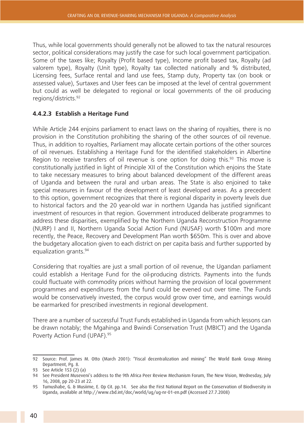Thus, while local governments should generally not be allowed to tax the natural resources sector, political considerations may justify the case for such local government participation. Some of the taxes like; Royalty (Profit based type), Income profit based tax, Royalty (ad valorem type), Royalty (Unit type), Royalty tax collected nationally and % distributed, Licensing fees, Surface rental and land use fees, Stamp duty, Property tax (on book or assessed value), Surtaxes and User fees can be imposed at the level of central government but could as well be delegated to regional or local governments of the oil producing regions/districts.92

#### **4.4.2.3 Establish a Heritage Fund**

While Article 244 enjoins parliament to enact laws on the sharing of royalties, there is no provision in the Constitution prohibiting the sharing of the other sources of oil revenue. Thus, in addition to royalties, Parliament may allocate certain portions of the other sources of oil revenues. Establishing a Heritage Fund for the identified stakeholders in Albertine Region to receive transfers of oil revenue is one option for doing this.<sup>93</sup> This move is constitutionally justified in light of Principle XII of the Constitution which enjoins the State to take necessary measures to bring about balanced development of the different areas of Uganda and between the rural and urban areas. The State is also enjoined to take special measures in favour of the development of least developed areas. As a precedent to this option, government recognizes that there is regional disparity in poverty levels due to historical factors and the 20 year-old war in northern Uganda has justified significant investment of resources in that region. Government introduced deliberate programmes to address these disparities, exemplified by the Northern Uganda Reconstruction Programme (NURP) I and II, Northern Uganda Social Action Fund (NUSAF) worth \$100m and more recently, the Peace, Recovery and Development Plan worth \$650m. This is over and above the budgetary allocation given to each district on per capita basis and further supported by equalization grants.94

Considering that royalties are just a small portion of oil revenue, the Ugandan parliament could establish a Heritage Fund for the oil-producing districts. Payments into the funds could fluctuate with commodity prices without harming the provision of local government programmes and expenditures from the fund could be evened out over time. The Funds would be conservatively invested, the corpus would grow over time, and earnings would be earmarked for prescribed investments in regional development.

There are a number of successful Trust Funds established in Uganda from which lessons can be drawn notably; the Mgahinga and Bwindi Conservation Trust (MBICT) and the Uganda Poverty Action Fund (UPAF).<sup>95</sup>

<sup>92</sup> Source: Prof. James M. Otto (March 2001): "Fiscal decentralization and mining" The World Bank Group Mining Department, Pg. 8.

<sup>93</sup> See Article 153 (2) (a)

<sup>94</sup> See President Museveni's address to the 9th Africa Peer Review Mechanism Forum, The New Vision, Wednesday, July 16, 2008, pp 20-23 at 22.

<sup>95</sup> Tumushabe, G. & Musiime, E. Op Cit. pp.14. See also the First National Report on the Conservation of Biodiversity in Uganda, available at http://www.cbd.int/doc/world/ug/ug-nr-01-en.pdf (Accessed 27.7.2008)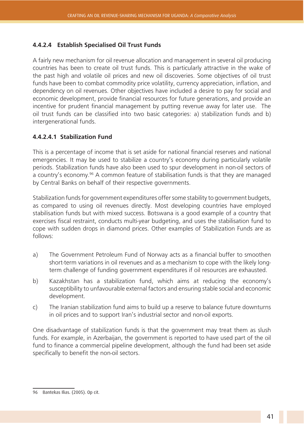#### **4.4.2.4 Establish Specialised Oil Trust Funds**

A fairly new mechanism for oil revenue allocation and management in several oil producing countries has been to create oil trust funds. This is particularly attractive in the wake of the past high and volatile oil prices and new oil discoveries. Some objectives of oil trust funds have been to combat commodity price volatility, currency appreciation, inflation, and dependency on oil revenues. Other objectives have included a desire to pay for social and economic development, provide financial resources for future generations, and provide an incentive for prudent financial management by putting revenue away for later use. The oil trust funds can be classified into two basic categories: a) stabilization funds and b) intergenerational funds.

#### **4.4.2.4.1 Stabilization Fund**

This is a percentage of income that is set aside for national financial reserves and national emergencies. It may be used to stabilize a country's economy during particularly volatile periods. Stabilization funds have also been used to spur development in non-oil sectors of a country's economy.<sup>96</sup> A common feature of stabilisation funds is that they are managed by Central Banks on behalf of their respective governments.

Stabilization funds for government expenditures offer some stability to government budgets, as compared to using oil revenues directly. Most developing countries have employed stabilisation funds but with mixed success. Botswana is a good example of a country that exercises fiscal restraint, conducts multi-year budgeting, and uses the stabilisation fund to cope with sudden drops in diamond prices. Other examples of Stabilization Funds are as follows:

- a) The Government Petroleum Fund of Norway acts as a financial buffer to smoothen short-term variations in oil revenues and as a mechanism to cope with the likely longterm challenge of funding government expenditures if oil resources are exhausted.
- b) Kazakhstan has a stabilization fund, which aims at reducing the economy's susceptibility to unfavourable external factors and ensuring stable social and economic development.
- c) The Iranian stabilization fund aims to build up a reserve to balance future downturns in oil prices and to support Iran's industrial sector and non-oil exports.

One disadvantage of stabilization funds is that the government may treat them as slush funds. For example, in Azerbaijan, the government is reported to have used part of the oil fund to finance a commercial pipeline development, although the fund had been set aside specifically to benefit the non-oil sectors.

<sup>96</sup> Bantekas Ilias. (2005). Op cit.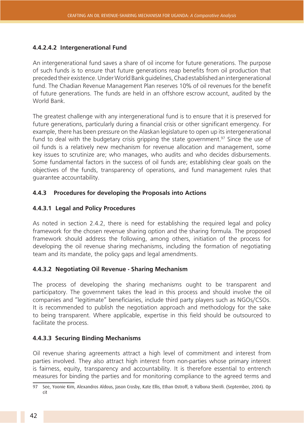#### **4.4.2.4.2 Intergenerational Fund**

An intergenerational fund saves a share of oil income for future generations. The purpose of such funds is to ensure that future generations reap benefits from oil production that preceded their existence. Under World Bank guidelines, Chad established an intergenerational fund. The Chadian Revenue Management Plan reserves 10% of oil revenues for the benefit of future generations. The funds are held in an offshore escrow account, audited by the World Bank.

The greatest challenge with any intergenerational fund is to ensure that it is preserved for future generations, particularly during a financial crisis or other significant emergency. For example, there has been pressure on the Alaskan legislature to open up its intergenerational fund to deal with the budgetary crisis gripping the state government.<sup>97</sup> Since the use of oil funds is a relatively new mechanism for revenue allocation and management, some key issues to scrutinize are; who manages, who audits and who decides disbursements. Some fundamental factors in the success of oil funds are; establishing clear goals on the objectives of the funds, transparency of operations, and fund management rules that guarantee accountability.

#### **4.4.3 Procedures for developing the Proposals into Actions**

#### **4.4.3.1 Legal and Policy Procedures**

As noted in section 2.4.2, there is need for establishing the required legal and policy framework for the chosen revenue sharing option and the sharing formula. The proposed framework should address the following, among others, initiation of the process for developing the oil revenue sharing mechanisms, including the formation of negotiating team and its mandate, the policy gaps and legal amendments.

#### **4.4.3.2 Negotiating Oil Revenue - Sharing Mechanism**

The process of developing the sharing mechanisms ought to be transparent and participatory. The government takes the lead in this process and should involve the oil companies and "legitimate" beneficiaries, include third party players such as NGOs/CSOs. It is recommended to publish the negotiation approach and methodology for the sake to being transparent. Where applicable, expertise in this field should be outsourced to facilitate the process.

#### **4.4.3.3 Securing Binding Mechanisms**

Oil revenue sharing agreements attract a high level of commitment and interest from parties involved. They also attract high interest from non-parties whose primary interest is fairness, equity, transparency and accountability. It is therefore essential to entrench measures for binding the parties and for monitoring compliance to the agreed terms and

<sup>97</sup> See, Yoonie Kim, Alexandros Aldous, Jason Crosby, Kate Ellis, Ethan Ostroff, & Valbona Sherifi. (September, 2004). Op cit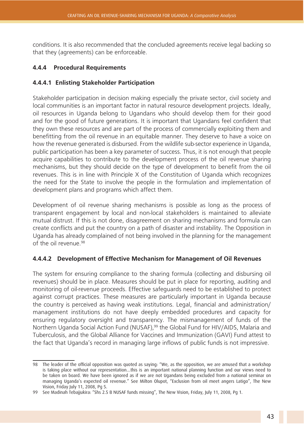conditions. It is also recommended that the concluded agreements receive legal backing so that they (agreements) can be enforceable.

#### **4.4.4 Procedural Requirements**

#### **4.4.4.1 Enlisting Stakeholder Participation**

Stakeholder participation in decision making especially the private sector, civil society and local communities is an important factor in natural resource development projects. Ideally, oil resources in Uganda belong to Ugandans who should develop them for their good and for the good of future generations. It is important that Ugandans feel confident that they own these resources and are part of the process of commercially exploiting them and benefitting from the oil revenue in an equitable manner. They deserve to have a voice on how the revenue generated is disbursed. From the wildlife sub-sector experience in Uganda, public participation has been a key parameter of success. Thus, it is not enough that people acquire capabilities to contribute to the development process of the oil revenue sharing mechanisms, but they should decide on the type of development to benefit from the oil revenues. This is in line with Principle X of the Constitution of Uganda which recognizes the need for the State to involve the people in the formulation and implementation of development plans and programs which affect them.

Development of oil revenue sharing mechanisms is possible as long as the process of transparent engagement by local and non-local stakeholders is maintained to alleviate mutual distrust. If this is not done, disagreement on sharing mechanisms and formula can create conflicts and put the country on a path of disaster and instability. The Opposition in Uganda has already complained of not being involved in the planning for the management of the oil revenue.98

#### **4.4.4.2 Development of Effective Mechanism for Management of Oil Revenues**

The system for ensuring compliance to the sharing formula (collecting and disbursing oil revenues) should be in place. Measures should be put in place for reporting, auditing and monitoring of oil-revenue proceeds. Effective safeguards need to be established to protect against corrupt practices. These measures are particularly important in Uganda because the country is perceived as having weak institutions. Legal, financial and administration/ management institutions do not have deeply embedded procedures and capacity for ensuring regulatory oversight and transparency. The mismanagement of funds of the Northern Uganda Social Action Fund (NUSAF),<sup>99</sup> the Global Fund for HIV/AIDS, Malaria and Tuberculosis, and the Global Alliance for Vaccines and Immunization (GAVI) Fund attest to the fact that Uganda's record in managing large inflows of public funds is not impressive.

<sup>98</sup> The leader of the official opposition was quoted as saying: "We, as the opposition, we are amused that a workshop is taking place without our representation…this is an important national planning function and our views need to be taken on board. We have been ignored as if we are not Ugandans being excluded from a national seminar on managing Uganda's expected oil revenue." See Milton Olupot, "Exclusion from oil meet angers Latigo", The New Vision, Friday July 11, 2008, Pg 5.

<sup>99</sup> See Madinah Tebajjukira: "Shs 2.5 B NUSAF funds missing", The New Vision, Friday, July 11, 2008, Pg 1.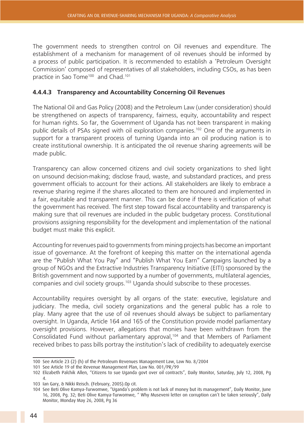The government needs to strengthen control on Oil revenues and expenditure. The establishment of a mechanism for management of oil revenues should be informed by a process of public participation. It is recommended to establish a 'Petroleum Oversight Commission' composed of representatives of all stakeholders, including CSOs, as has been practice in Sao Tome<sup>100</sup> and Chad.<sup>101</sup>

#### **4.4.4.3 Transparency and Accountability Concerning Oil Revenues**

The National Oil and Gas Policy (2008) and the Petroleum Law (under consideration) should be strengthened on aspects of transparency, fairness, equity, accountability and respect for human rights. So far, the Government of Uganda has not been transparent in making public details of PSAs signed with oil exploration companies.<sup>102</sup> One of the arguments in support for a transparent process of turning Uganda into an oil producing nation is to create institutional ownership. It is anticipated the oil revenue sharing agreements will be made public.

Transparency can allow concerned citizens and civil society organizations to shed light on unsound decision-making; disclose fraud, waste, and substandard practices, and press government officials to account for their actions. All stakeholders are likely to embrace a revenue sharing regime if the shares allocated to them are honoured and implemented in a fair, equitable and transparent manner. This can be done if there is verification of what the government has received. The first step toward fiscal accountability and transparency is making sure that oil revenues are included in the public budgetary process. Constitutional provisions assigning responsibility for the development and implementation of the national budget must make this explicit.

Accounting for revenues paid to governments from mining projects has become an important issue of governance. At the forefront of keeping this matter on the international agenda are the "Publish What You Pay" and "Publish What You Earn" Campaigns launched by a group of NGOs and the Extractive Industries Transparency Initiative (EITI) sponsored by the British government and now supported by a number of governments, multilateral agencies, companies and civil society groups.103 Uganda should subscribe to these processes.

Accountability requires oversight by all organs of the state: executive, legislature and judiciary. The media, civil society organizations and the general public has a role to play. Many agree that the use of oil revenues should always be subject to parliamentary oversight. In Uganda, Article 164 and 165 of the Constitution provide model parliamentary oversight provisions. However, allegations that monies have been withdrawn from the Consolidated Fund without parliamentary approval,<sup>104</sup> and that Members of Parliament received bribes to pass bills portray the institution's lack of credibility to adequately exercise

<sup>100</sup> See Article 23 (2) (h) of the Petroleum Revenues Management Law, Law No. 8/2004

<sup>101</sup> See Article 19 of the Revenue Management Plan, Law No. 001/PR/99

<sup>102</sup> Elizabeth Palchik Allen, "Citizens to sue Uganda govt over oil contracts", Daily Monitor, Saturday, July 12, 2008, Pg 4.

<sup>103</sup> Ian Gary, & Nikki Reisch. (February, 2005).Op cit.

<sup>104</sup> See Beti Olive Kamya-Turwomwe, "Uganda's problem is not lack of money but its management", Daily Monitor, June 16, 2008, Pg. 32; Beti Olive Kamya-Turwomwe, " Why Museveni letter on corruption can't be taken seriously", Daily Monitor, Monday May 26, 2008, Pg 36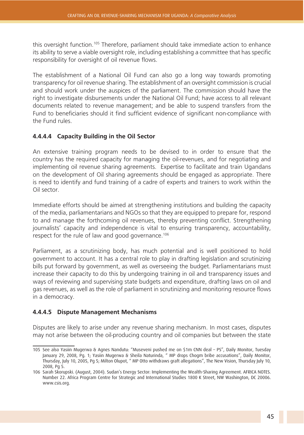this oversight function.<sup>105</sup> Therefore, parliament should take immediate action to enhance its ability to serve a viable oversight role, including establishing a committee that has specific responsibility for oversight of oil revenue flows.

The establishment of a National Oil Fund can also go a long way towards promoting transparency for oil revenue sharing. The establishment of an oversight commission is crucial and should work under the auspices of the parliament. The commission should have the right to investigate disbursements under the National Oil Fund; have access to all relevant documents related to revenue management; and be able to suspend transfers from the Fund to beneficiaries should it find sufficient evidence of significant non-compliance with the Fund rules.

#### **4.4.4.4 Capacity Building in the Oil Sector**

An extensive training program needs to be devised to in order to ensure that the country has the required capacity for managing the oil-revenues, and for negotiating and implementing oil revenue sharing agreements. Expertise to facilitate and train Ugandans on the development of Oil sharing agreements should be engaged as appropriate. There is need to identify and fund training of a cadre of experts and trainers to work within the Oil sector.

Immediate efforts should be aimed at strengthening institutions and building the capacity of the media, parliamentarians and NGOs so that they are equipped to prepare for, respond to and manage the forthcoming oil revenues, thereby preventing conflict. Strengthening journalists' capacity and independence is vital to ensuring transparency, accountability, respect for the rule of law and good governance.<sup>106</sup>

Parliament, as a scrutinizing body, has much potential and is well positioned to hold government to account. It has a central role to play in drafting legislation and scrutinizing bills put forward by government, as well as overseeing the budget. Parliamentarians must increase their capacity to do this by undergoing training in oil and transparency issues and ways of reviewing and supervising state budgets and expenditure, drafting laws on oil and gas revenues, as well as the role of parliament in scrutinizing and monitoring resource flows in a democracy.

#### **4.4.4.5 Dispute Management Mechanisms**

Disputes are likely to arise under any revenue sharing mechanism. In most cases, disputes may not arise between the oil-producing country and oil companies but between the state

<sup>105</sup> See also Yasiin Mugerwa & Agnes Nandutu: "Museveni pushed me on \$1m CNN deal – PS", Daily Monitor, Tuesday January 29, 2008, Pg. 1; Yasiin Mugerwa & Sheila Naturinda, " MP drops Chogm bribe accusations", Daily Monitor, Thursday, July 10, 2005, Pg 5; Milton Olupot, " MP Otto withdraws graft allegations", The New Vision, Thursday July 10, 2008, Pg 5.

<sup>106</sup> Sarah Skorupski. (August, 2004). Sudan's Energy Sector: Implementing the Wealth-Sharing Agreement. AFRICA NOTES. Number 22. Africa Program Centre for Strategic and International Studies 1800 K Street, NW Washington, DC 20006. www.csis.org.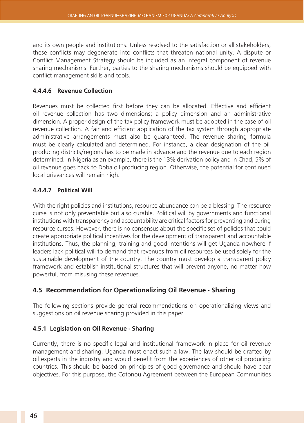and its own people and institutions. Unless resolved to the satisfaction or all stakeholders, these conflicts may degenerate into conflicts that threaten national unity. A dispute or Conflict Management Strategy should be included as an integral component of revenue sharing mechanisms. Further, parties to the sharing mechanisms should be equipped with conflict management skills and tools.

#### **4.4.4.6 Revenue Collection**

Revenues must be collected first before they can be allocated. Effective and efficient oil revenue collection has two dimensions; a policy dimension and an administrative dimension. A proper design of the tax policy framework must be adopted in the case of oil revenue collection. A fair and efficient application of the tax system through appropriate administrative arrangements must also be guaranteed. The revenue sharing formula must be clearly calculated and determined. For instance, a clear designation of the oilproducing districts/regions has to be made in advance and the revenue due to each region determined. In Nigeria as an example, there is the 13% derivation policy and in Chad, 5% of oil revenue goes back to Doba oil-producing region. Otherwise, the potential for continued local grievances will remain high.

#### **4.4.4.7 Political Will**

With the right policies and institutions, resource abundance can be a blessing. The resource curse is not only preventable but also curable. Political will by governments and functional institutions with transparency and accountability are critical factors for preventing and curing resource curses. However, there is no consensus about the specific set of policies that could create appropriate political incentives for the development of transparent and accountable institutions. Thus, the planning, training and good intentions will get Uganda nowhere if leaders lack political will to demand that revenues from oil resources be used solely for the sustainable development of the country. The country must develop a transparent policy framework and establish institutional structures that will prevent anyone, no matter how powerful, from misusing these revenues.

#### **4.5 Recommendation for Operationalizing Oil Revenue - Sharing**

The following sections provide general recommendations on operationalizing views and suggestions on oil revenue sharing provided in this paper.

#### **4.5.1 Legislation on Oil Revenue - Sharing**

Currently, there is no specific legal and institutional framework in place for oil revenue management and sharing. Uganda must enact such a law. The law should be drafted by oil experts in the industry and would benefit from the experiences of other oil producing countries. This should be based on principles of good governance and should have clear objectives. For this purpose, the Cotonou Agreement between the European Communities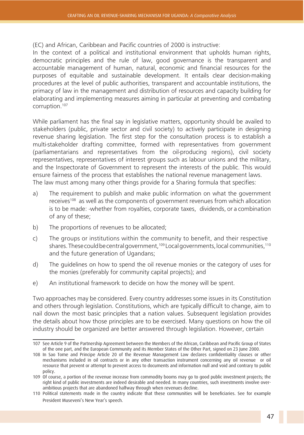(EC) and African, Caribbean and Pacific countries of 2000 is instructive:

In the context of a political and institutional environment that upholds human rights, democratic principles and the rule of law, good governance is the transparent and accountable management of human, natural, economic and financial resources for the purposes of equitable and sustainable development. It entails clear decision-making procedures at the level of public authorities, transparent and accountable institutions, the primacy of law in the management and distribution of resources and capacity building for elaborating and implementing measures aiming in particular at preventing and combating corruption.107

While parliament has the final say in legislative matters, opportunity should be availed to stakeholders (public, private sector and civil society) to actively participate in designing revenue sharing legislation. The first step for the consultation process is to establish a multi-stakeholder drafting committee, formed with representatives from government (parliamentarians and representatives from the oil-producing regions), civil society representatives, representatives of interest groups such as labour unions and the military, and the Inspectorate of Government to represent the interests of the public. This would ensure fairness of the process that establishes the national revenue management laws. The law must among many other things provide for a Sharing formula that specifies:

- a) The requirement to publish and make public information on what the government receives<sup>108</sup> as well as the components of government revenues from which allocation is to be made: -whether from royalties, corporate taxes, dividends, or a combination of any of these;
- b) The proportions of revenues to be allocated;
- c) The groups or institutions within the community to benefit, and their respective shares. These could be central government,<sup>109</sup> Local governments, local communities,<sup>110</sup> and the future generation of Ugandans;
- d) The guidelines on how to spend the oil revenue monies or the category of uses for the monies (preferably for community capital projects); and
- e) An institutional framework to decide on how the money will be spent.

Two approaches may be considered. Every country addresses some issues in its Constitution and others through legislation. Constitutions, which are typically difficult to change, aim to nail down the most basic principles that a nation values. Subsequent legislation provides the details about how those principles are to be exercised. Many questions on how the oil industry should be organized are better answered through legislation. However, certain

<sup>107</sup> See Article 9 of the Partnership Agreement between the Members of the African, Caribbean and Pacific Group of States of the one part, and the European Community and its Member States of the Other Part, signed on 23 June 2000.

<sup>108</sup> In Sao Tome and Principe Article 20 of the Revenue Management Law declares confidentiality clauses or other mechanisms included in oil contracts or in any other transaction instrument concerning any oil revenue or oil resource that prevent or attempt to prevent access to documents and information null and void and contrary to public policy.

<sup>109</sup> Of course, a portion of the revenue increase from commodity booms may go to good public investment projects; the right kind of public investments are indeed desirable and needed. In many countries, such investments involve overambitious projects that are abandoned halfway through when revenues decline.

<sup>110</sup> Political statements made in the country indicate that these communities will be beneficiaries. See for example President Museveni's New Year's speech.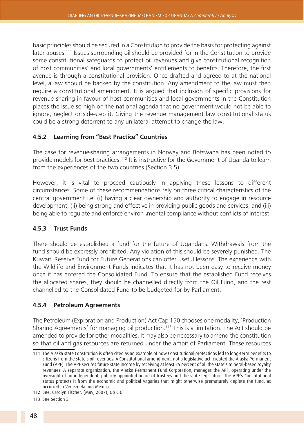basic principles should be secured in a Constitution to provide the basis for protecting against later abuses.<sup>111</sup> Issues surrounding oil should be provided for in the Constitution to provide some constitutional safeguards to protect oil revenues and give constitutional recognition of host communities' and local governments' entitlements to benefits. Therefore, the first avenue is through a constitutional provision. Once drafted and agreed to at the national level, a law should be backed by the constitution. Any amendment to the law must then require a constitutional amendment. It is argued that inclusion of specific provisions for revenue sharing in favour of host communities and local governments in the Constitution places the issue so high on the national agenda that no government would not be able to ignore, neglect or side-step it. Giving the revenue management law constitutional status could be a strong deterrent to any unilateral attempt to change the law.

#### **4.5.2 Learning from "Best Practice" Countries**

The case for revenue-sharing arrangements in Norway and Botswana has been noted to provide models for best practices.<sup>112</sup> It is instructive for the Government of Uganda to learn from the experiences of the two countries (Section 3.5).

However, it is vital to proceed cautiously in applying these lessons to different circumstances. Some of these recommendations rely on three critical characteristics of the central government i.e. (i) having a clear ownership and authority to engage in resource development, (ii) being strong and effective in providing public goods and services, and (iii) being able to regulate and enforce environ-mental compliance without conflicts of interest.

#### **4.5.3 Trust Funds**

There should be established a fund for the future of Ugandans. Withdrawals from the fund should be expressly prohibited. Any violation of this should be severely punished. The Kuwaiti Reserve Fund for Future Generations can offer useful lessons. The experience with the Wildlife and Environment Funds indicates that it has not been easy to receive money once it has entered the Consolidated Fund. To ensure that the established Fund receives the allocated shares, they should be channelled directly from the Oil Fund, and the rest channelled to the Consolidated Fund to be budgeted for by Parliament.

#### **4.5.4 Petroleum Agreements**

The Petroleum (Exploration and Production) Act Cap 150 chooses one modality, 'Production Sharing Agreements' for managing oil production.<sup>113</sup> This is a limitation. The Act should be amended to provide for other modalities. It may also be necessary to amend the constitution so that oil and gas resources are returned under the ambit of Parliament. These resources

113 See Section 3

<sup>111</sup> The Alaska state Constitution is often cited as an example of how Constitutional protections led to long-term benefits to citizens from the state's oil revenues. A Constitutional amendment, not a legislative act, created the Alaska Permanent Fund (APF). The APF secures future state income by receiving at least 25 percent of all the state's mineral-based royalty revenues. A separate organization, the Alaska Permanent Fund Corporation, manages the APF, operating under the oversight of an independent, publicly appointed board of trustees and the state legislature. The APF's Constitutional status protects it from the economic and political vagaries that might otherwise prematurely deplete the fund, as occurred in Venezuela and Mexico

<sup>112</sup> See, Carolyn Fischer. (May, 2007), Op Cit.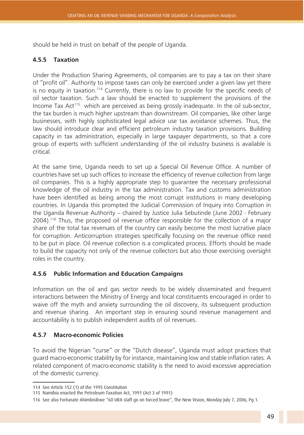should be held in trust on behalf of the people of Uganda.

#### **4.5.5 Taxation**

Under the Production Sharing Agreements, oil companies are to pay a tax on their share of "profit oil". Authority to impose taxes can only be exercised under a given law yet there is no equity in taxation.<sup>114</sup> Currently, there is no law to provide for the specific needs of oil sector taxation. Such a law should be enacted to supplement the provisions of the Income Tax Act115 which are perceived as being grossly inadequate. In the oil sub-sector, the tax burden is much higher upstream than downstream. Oil companies, like other large businesses, with highly sophisticated legal advice use tax avoidance schemes. Thus, the law should introduce clear and efficient petroleum industry taxation provisions. Building capacity in tax administration, especially in large taxpayer departments, so that a core group of experts with sufficient understanding of the oil industry business is available is critical.

At the same time, Uganda needs to set up a Special Oil Revenue Office. A number of countries have set up such offices to increase the efficiency of revenue collection from large oil companies. This is a highly appropriate step to guarantee the necessary professional knowledge of the oil industry in the tax administration. Tax and customs administration have been identified as being among the most corrupt institutions in many developing countries. In Uganda this prompted the Judicial Commission of Inquiry into Corruption in the Uganda Revenue Authority – chaired by Justice Julia Sebutinde (June 2002 - February 2004).116 Thus, the proposed oil revenue office responsible for the collection of a major share of the total tax revenues of the country can easily become the most lucrative place for corruption. Anticorruption strategies specifically focusing on the revenue office need to be put in place. Oil revenue collection is a complicated process. Efforts should be made to build the capacity not only of the revenue collectors but also those exercising oversight roles in the country.

#### **4.5.6 Public Information and Education Campaigns**

Information on the oil and gas sector needs to be widely disseminated and frequent interactions between the Ministry of Energy and local constituents encouraged in order to waive off the myth and anxiety surrounding the oil discovery, its subsequent production and revenue sharing. An important step in ensuring sound revenue management and accountability is to publish independent audits of oil revenues.

#### **4.5.7 Macro-economic Policies**

To avoid the Nigerian "curse" or the "Dutch disease", Uganda must adopt practices that guard macro-economic stability by for instance, maintaining low and stable inflation rates. A related component of macro-economic stability is the need to avoid excessive appreciation of the domestic currency.

<sup>114</sup> See Article 152 (1) of the 1995 Constitution

<sup>115</sup> Namibia enacted the Petroleum Taxation Act, 1991 (Act 3 of 1991)

<sup>116</sup> See also Fortunate Ahimbisibwe "60 URA staff go on forced leave", The New Vision, Monday July 7, 2006, Pg 1.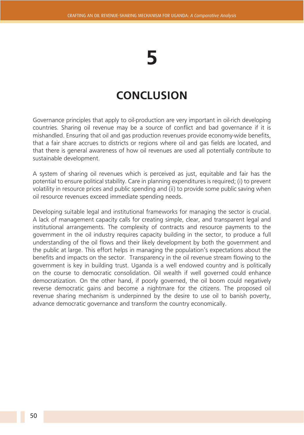# **5**

## **CONCLUSION**

Governance principles that apply to oil-production are very important in oil-rich developing countries. Sharing oil revenue may be a source of conflict and bad governance if it is mishandled. Ensuring that oil and gas production revenues provide economy-wide benefits, that a fair share accrues to districts or regions where oil and gas fields are located, and that there is general awareness of how oil revenues are used all potentially contribute to sustainable development.

A system of sharing oil revenues which is perceived as just, equitable and fair has the potential to ensure political stability. Care in planning expenditures is required; (i) to prevent volatility in resource prices and public spending and (ii) to provide some public saving when oil resource revenues exceed immediate spending needs.

Developing suitable legal and institutional frameworks for managing the sector is crucial. A lack of management capacity calls for creating simple, clear, and transparent legal and institutional arrangements. The complexity of contracts and resource payments to the government in the oil industry requires capacity building in the sector, to produce a full understanding of the oil flows and their likely development by both the government and the public at large. This effort helps in managing the population's expectations about the benefits and impacts on the sector. Transparency in the oil revenue stream flowing to the government is key in building trust. Uganda is a well endowed country and is politically on the course to democratic consolidation. Oil wealth if well governed could enhance democratization. On the other hand, if poorly governed, the oil boom could negatively reverse democratic gains and become a nightmare for the citizens. The proposed oil revenue sharing mechanism is underpinned by the desire to use oil to banish poverty, advance democratic governance and transform the country economically.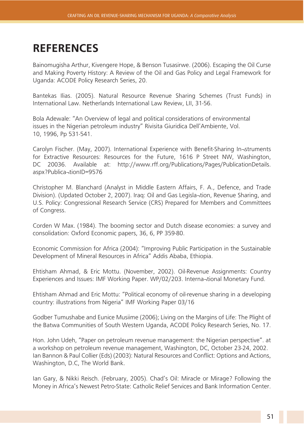### **REFERENCES**

Bainomugisha Arthur, Kivengere Hope, & Benson Tusasirwe. (2006). Escaping the Oil Curse and Making Poverty History: A Review of the Oil and Gas Policy and Legal Framework for Uganda: ACODE Policy Research Series, 20.

Bantekas Ilias. (2005). Natural Resource Revenue Sharing Schemes (Trust Funds) in International Law. Netherlands International Law Review, LII, 31-56.

Bola Adewale: "An Overview of legal and political considerations of environmental issues in the Nigerian petroleum industry" Rivisita Giuridica Dell'Ambiente, Vol. 10, 1996, Pp 531-541.

Carolyn Fischer. (May, 2007). International Experience with Benefit-Sharing In¬struments for Extractive Resources: Resources for the Future, 1616 P Street NW, Washington, DC 20036. Available at: http://www.rff.org/Publications/Pages/PublicationDetails. aspx?Publica¬tionID=9576

Christopher M. Blanchard (Analyst in Middle Eastern Affairs, F. A., Defence, and Trade Division). (Updated October 2, 2007). Iraq: Oil and Gas Legisla¬tion, Revenue Sharing, and U.S. Policy: Congressional Research Service (CRS) Prepared for Members and Committees of Congress.

Corden W Max. (1984). The booming sector and Dutch disease economies: a survey and consolidation: Oxford Economic papers, 36, 6, PP 359-80.

Economic Commission for Africa (2004): "Improving Public Participation in the Sustainable Development of Mineral Resources in Africa" Addis Ababa, Ethiopia.

Ehtisham Ahmad, & Eric Mottu. (November, 2002). Oil-Revenue Assignments: Country Experiences and Issues: IMF Working Paper. WP/02/203. Interna¬tional Monetary Fund.

Ehtisham Ahmad and Eric Mottu: "Political economy of oil-revenue sharing in a developing country: illustrations from Nigeria" IMF Working Paper 03/16

Godber Tumushabe and Eunice Musiime (2006); Living on the Margins of Life: The Plight of the Batwa Communities of South Western Uganda, ACODE Policy Research Series, No. 17.

Hon. John Udeh, "Paper on petroleum revenue management: the Nigerian perspective". at a workshop on petroleum revenue management, Washington, DC, October 23-24, 2002. Ian Bannon & Paul Collier (Eds) (2003): Natural Resources and Conflict: Options and Actions, Washington, D.C, The World Bank.

Ian Gary, & Nikki Reisch. (February, 2005). Chad's Oil: Miracle or Mirage? Following the Money in Africa's Newest Petro-State: Catholic Relief Services and Bank Information Center.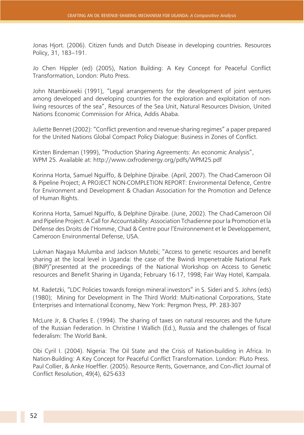Jonas Hjort. (2006). Citizen funds and Dutch Disease in developing countries. Resources Policy, 31, 183–191.

Jo Chen Hippler (ed) (2005), Nation Building: A Key Concept for Peaceful Conflict Transformation, London: Pluto Press.

John Ntambirweki (1991), "Legal arrangements for the development of joint ventures among developed and developing countries for the exploration and exploitation of nonliving resources of the sea", Resources of the Sea Unit, Natural Resources Division, United Nations Economic Commission For Africa, Addis Ababa.

Juliette Bennet (2002): "Conflict prevention and revenue-sharing regimes" a paper prepared for the United Nations Global Compact Policy Dialogue: Business in Zones of Conflict.

Kirsten Bindeman (1999), "Production Sharing Agreements: An economic Analysis", WPM 25. Available at: http://www.oxfrodenergy.org/pdfs/WPM25.pdf

Korinna Horta, Samuel Nguiffo, & Delphine Djiraibe. (April, 2007). The Chad-Cameroon Oil & Pipeline Project; A PROJECT NON-COMPLETION REPORT: Environmental Defence, Centre for Environment and Development & Chadian Association for the Promotion and Defence of Human Rights.

Korinna Horta, Samuel Nguiffo, & Delphine Djiraibe. (June, 2002). The Chad-Cameroon Oil and Pipeline Project: A Call for Accountability: Association Tchadienne pour la Promotion et la Défense des Droits de l'Homme, Chad & Centre pour l'Environnement et le Developpement, Cameroon Environmental Defense, USA.

Lukman Nagaya Mulumba and Jackson Mutebi; "Access to genetic resources and benefit sharing at the local level in Uganda: the case of the Bwindi Impenetrable National Park (BINP)"presented at the proceedings of the National Workshop on Access to Genetic resources and Benefit Sharing in Uganda; February 16-17, 1998; Fair Way Hotel, Kampala.

M. Radetzki, "LDC Policies towards foreign mineral investors" in S. Sideri and S. Johns (eds) (1980); Mining for Development in The Third World: Multi-national Corporations, State Enterprises and International Economy, New York: Pergmon Press, PP. 283-307

McLure Jr, & Charles E. (1994). The sharing of taxes on natural resources and the future of the Russian Federation. In Christine I Wallich (Ed.), Russia and the challenges of fiscal federalism: The World Bank.

Obi Cyril I. (2004). Nigeria: The Oil State and the Crisis of Nation-building in Africa. In Nation-Building: A Key Concept for Peaceful Conflict Transformation. London: Pluto Press. Paul Collier, & Anke Hoeffler. (2005). Resource Rents, Governance, and Con¬flict Journal of Conflict Resolution, 49(4), 625-633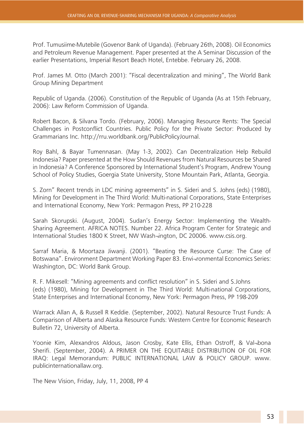Prof. Tumusiime-Mutebile (Govenor Bank of Uganda). (February 26th, 2008). Oil Economics and Petroleum Revenue Management. Paper presented at the A Seminar Discussion of the earlier Presentations, Imperial Resort Beach Hotel, Entebbe. February 26, 2008.

Prof. James M. Otto (March 2001): "Fiscal decentralization and mining", The World Bank Group Mining Department

Republic of Uganda. (2006). Constitution of the Republic of Uganda (As at 15th February, 2006): Law Reform Commission of Uganda.

Robert Bacon, & Silvana Tordo. (February, 2006). Managing Resource Rents: The Special Challenges in Postconflict Countries. Public Policy for the Private Sector: Produced by Grammarians Inc. http://rru.worldbank.org/PublicPolicyJournal.

Roy Bahl, & Bayar Tumennasan. (May 1-3, 2002). Can Decentralization Help Rebuild Indonesia? Paper presented at the How Should Revenues from Natural Resources be Shared in Indonesia? A Conference Sponsored by International Student's Program, Andrew Young School of Policy Studies, Goergia State University, Stone Mountain Park, Atlanta, Georgia.

S. Zorn" Recent trends in LDC mining agreements" in S. Sideri and S. Johns (eds) (1980), Mining for Development in The Third World: Multi-national Corporations, State Enterprises and International Economy, New York: Permagon Press, PP 210-228

Sarah Skorupski. (August, 2004). Sudan's Energy Sector: Implementing the Wealth-Sharing Agreement. AFRICA NOTES. Number 22. Africa Program Center for Strategic and International Studies 1800 K Street, NW Wash-ington, DC 20006. www.csis.org.

Sarraf Maria, & Moortaza Jiwanji. (2001). "Beating the Resource Curse: The Case of Botswana". Environment Department Working Paper 83. Envi¬ronmental Economics Series: Washington, DC: World Bank Group.

R. F. Mikesell: "Mining agreements and conflict resolution" in S. Sideri and S.Johns (eds) (1980), Mining for Development in The Third World: Multi-national Corporations, State Enterprises and International Economy, New York: Permagon Press, PP 198-209

Warrack Allan A, & Russell R Keddie. (September, 2002). Natural Resource Trust Funds: A Comparison of Alberta and Alaska Resource Funds: Western Centre for Economic Research Bulletin 72, University of Alberta.

Yoonie Kim, Alexandros Aldous, Jason Crosby, Kate Ellis, Ethan Ostroff, & Val¬bona Sherifi. (September, 2004). A PRIMER ON THE EQUITABLE DISTRIBUTION OF OIL FOR IRAQ: Legal Memorandum: PUBLIC INTERNATIONAL LAW & POLICY GROUP. www. publicinternationallaw.org.

The New Vision, Friday, July, 11, 2008, PP 4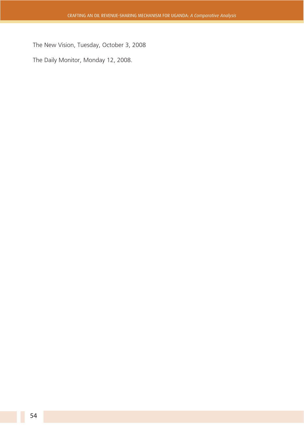The New Vision, Tuesday, October 3, 2008

The Daily Monitor, Monday 12, 2008.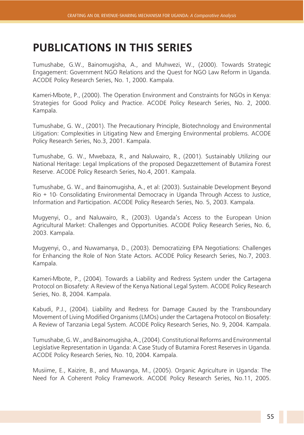### **PUBLICATIONS IN THIS SERIES**

Tumushabe, G.W., Bainomugisha, A., and Muhwezi, W., (2000). Towards Strategic Engagement: Government NGO Relations and the Quest for NGO Law Reform in Uganda. ACODE Policy Research Series, No. 1, 2000. Kampala.

Kameri-Mbote, P., (2000). The Operation Environment and Constraints for NGOs in Kenya: Strategies for Good Policy and Practice. ACODE Policy Research Series, No. 2, 2000. Kampala.

Tumushabe, G. W., (2001). The Precautionary Principle, Biotechnology and Environmental Litigation: Complexities in Litigating New and Emerging Environmental problems. ACODE Policy Research Series, No.3, 2001. Kampala.

Tumushabe, G. W., Mwebaza, R., and Naluwairo, R., (2001). Sustainably Utilizing our National Heritage: Legal Implications of the proposed Degazzettement of Butamira Forest Reserve. ACODE Policy Research Series, No.4, 2001. Kampala.

Tumushabe, G. W., and Bainomugisha, A., et al: (2003). Sustainable Development Beyond Rio + 10- Consolidating Environmental Democracy in Uganda Through Access to Justice, Information and Participation. ACODE Policy Research Series, No. 5, 2003. Kampala.

Mugyenyi, O., and Naluwairo, R., (2003). Uganda's Access to the European Union Agricultural Market: Challenges and Opportunities. ACODE Policy Research Series, No. 6, 2003. Kampala.

Mugyenyi, O., and Nuwamanya, D., (2003). Democratizing EPA Negotiations: Challenges for Enhancing the Role of Non State Actors. ACODE Policy Research Series, No.7, 2003. Kampala.

Kameri-Mbote, P., (2004). Towards a Liability and Redress System under the Cartagena Protocol on Biosafety: A Review of the Kenya National Legal System. ACODE Policy Research Series, No. 8, 2004. Kampala.

Kabudi, P.J., (2004). Liability and Redress for Damage Caused by the Transboundary Movement of Living Modified Organisms (LMOs) under the Cartagena Protocol on Biosafety: A Review of Tanzania Legal System. ACODE Policy Research Series, No. 9, 2004. Kampala.

Tumushabe, G. W., and Bainomugisha, A., (2004). Constitutional Reforms and Environmental Legislative Representation in Uganda: A Case Study of Butamira Forest Reserves in Uganda. ACODE Policy Research Series, No. 10, 2004. Kampala.

Musiime, E., Kaizire, B., and Muwanga, M., (2005). Organic Agriculture in Uganda: The Need for A Coherent Policy Framework. ACODE Policy Research Series, No.11, 2005.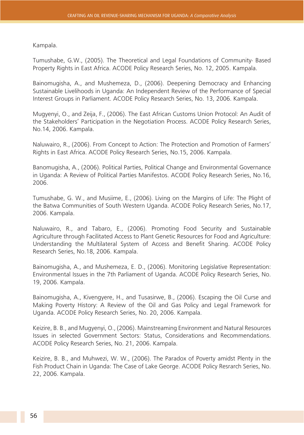Kampala.

Tumushabe, G.W., (2005). The Theoretical and Legal Foundations of Community- Based Property Rights in East Africa. ACODE Policy Research Series, No. 12, 2005. Kampala.

Bainomugisha, A., and Mushemeza, D., (2006). Deepening Democracy and Enhancing Sustainable Livelihoods in Uganda: An Independent Review of the Performance of Special Interest Groups in Parliament. ACODE Policy Research Series, No. 13, 2006. Kampala.

Mugyenyi, O., and Zeija, F., (2006). The East African Customs Union Protocol: An Audit of the Stakeholders' Participation in the Negotiation Process. ACODE Policy Research Series, No.14, 2006. Kampala.

Naluwairo, R., (2006). From Concept to Action: The Protection and Promotion of Farmers' Rights in East Africa. ACODE Policy Research Series, No.15, 2006. Kampala.

Banomugisha, A., (2006). Political Parties, Political Change and Environmental Governance in Uganda: A Review of Political Parties Manifestos. ACODE Policy Research Series, No.16, 2006.

Tumushabe, G. W., and Musiime, E., (2006). Living on the Margins of Life: The Plight of the Batwa Communities of South Western Uganda. ACODE Policy Research Series, No.17, 2006. Kampala.

Naluwairo, R., and Tabaro, E., (2006). Promoting Food Security and Sustainable Agriculture through Facilitated Access to Plant Genetic Resources for Food and Agriculture: Understanding the Multilateral System of Access and Benefit Sharing. ACODE Policy Research Series, No.18, 2006. Kampala.

Bainomugisha, A., and Mushemeza, E. D., (2006). Monitoring Legislative Representation: Environmental Issues in the 7th Parliament of Uganda. ACODE Policy Research Series, No. 19, 2006. Kampala.

Bainomugisha, A., Kivengyere, H., and Tusasirwe, B., (2006). Escaping the Oil Curse and Making Poverty History: A Review of the Oil and Gas Policy and Legal Framework for Uganda. ACODE Policy Research Series, No. 20, 2006. Kampala.

Keizire, B. B., and Mugyenyi, O., (2006). Mainstreaming Environment and Natural Resources Issues in selected Government Sectors: Status, Considerations and Recommendations. ACODE Policy Research Series, No. 21, 2006. Kampala.

Keizire, B. B., and Muhwezi, W. W., (2006). The Paradox of Poverty amidst Plenty in the Fish Product Chain in Uganda: The Case of Lake George. ACODE Policy Resrarch Series, No. 22, 2006. Kampala.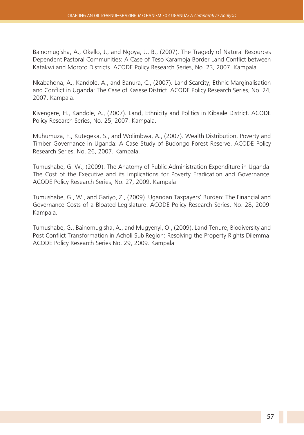Bainomugisha, A., Okello, J., and Ngoya, J., B., (2007). The Tragedy of Natural Resources Dependent Pastoral Communities: A Case of Teso-Karamoja Border Land Conflict between Katakwi and Moroto Districts. ACODE Policy Research Series, No. 23, 2007. Kampala.

Nkabahona, A., Kandole, A., and Banura, C., (2007). Land Scarcity, Ethnic Marginalisation and Conflict in Uganda: The Case of Kasese District. ACODE Policy Research Series, No. 24, 2007. Kampala.

Kivengere, H., Kandole, A., (2007). Land, Ethnicity and Politics in Kibaale District. ACODE Policy Research Series, No. 25, 2007. Kampala.

Muhumuza, F., Kutegeka, S., and Wolimbwa, A., (2007). Wealth Distribution, Poverty and Timber Governance in Uganda: A Case Study of Budongo Forest Reserve. ACODE Policy Research Series, No. 26, 2007. Kampala.

Tumushabe, G. W., (2009). The Anatomy of Public Administration Expenditure in Uganda: The Cost of the Executive and its Implications for Poverty Eradication and Governance. ACODE Policy Research Series, No. 27, 2009. Kampala

Tumushabe, G., W., and Gariyo, Z., (2009). Ugandan Taxpayers' Burden: The Financial and Governance Costs of a Bloated Legislature. ACODE Policy Research Series, No. 28, 2009. Kampala.

Tumushabe, G., Bainomugisha, A., and Mugyenyi, O., (2009). Land Tenure, Biodiversity and Post Conflict Transformation in Acholi Sub-Region: Resolving the Property Rights Dilemma. ACODE Policy Research Series No. 29, 2009. Kampala